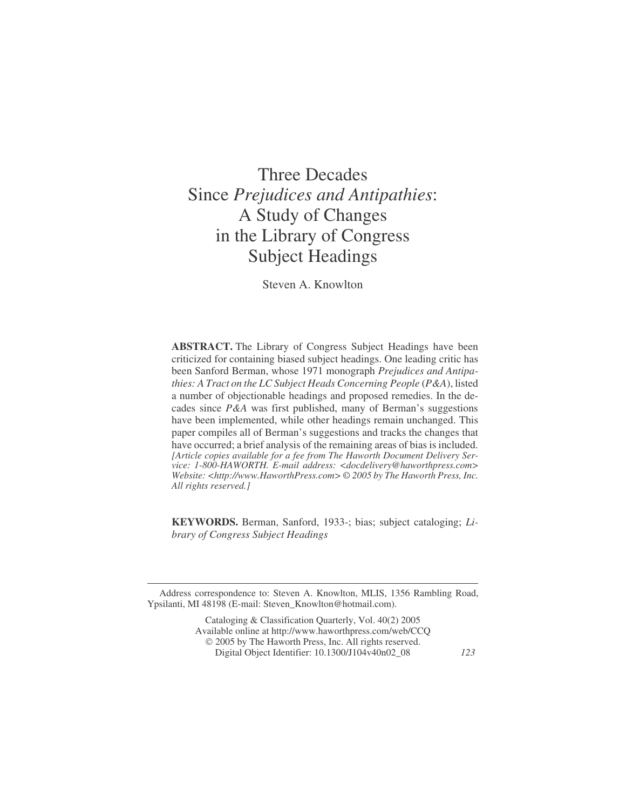# Three Decades Since *Prejudices and Antipathies*: A Study of Changes in the Library of Congress Subject Headings

Steven A. Knowlton

**ABSTRACT.** The Library of Congress Subject Headings have been criticized for containing biased subject headings. One leading critic has been Sanford Berman, whose 1971 monograph *Prejudices and Antipathies: A Tract on the LC Subject Heads Concerning People* (*P&A*), listed a number of objectionable headings and proposed remedies. In the decades since *P&A* was first published, many of Berman's suggestions have been implemented, while other headings remain unchanged. This paper compiles all of Berman's suggestions and tracks the changes that have occurred; a brief analysis of the remaining areas of bias is included. *[Article copies available for a fee from The Haworth Document Delivery Service: 1-800-HAWORTH. E-mail address: <docdelivery@haworthpress.com> Website: <[http://www.HaworthPress.com> ©](http://www.HaworthPress.com>�) 2005 by The Haworth Press, Inc. All rights reserved.]*

**KEYWORDS.** Berman, Sanford, 1933-; bias; subject cataloging; *Library of Congress Subject Headings*

Address correspondence to: Steven A. Knowlton, MLIS, 1356 Rambling Road, Ypsilanti, MI 48198 (E-mail: Steven\_Knowlton@hotmail.com).

> Cataloging & Classification Quarterly, Vol. 40(2) 2005 Available online at <http://www.haworthpress.com/web/CCQ> 2005 by The Haworth Press, Inc. All rights reserved. Digital Object Identifier: 10.1300/J104v40n02\_08 *123*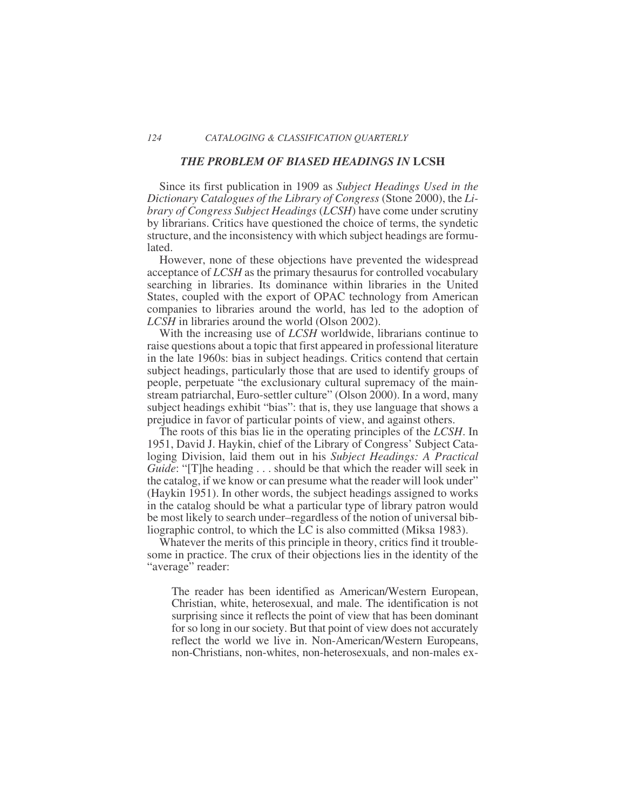#### *THE PROBLEM OF BIASED HEADINGS IN* **LCSH**

Since its first publication in 1909 as *Subject Headings Used in the Dictionary Catalogues of the Library of Congress* (Stone 2000), the *Library of Congress Subject Headings* (*LCSH*) have come under scrutiny by librarians. Critics have questioned the choice of terms, the syndetic structure, and the inconsistency with which subject headings are formulated.

However, none of these objections have prevented the widespread acceptance of *LCSH* as the primary thesaurus for controlled vocabulary searching in libraries. Its dominance within libraries in the United States, coupled with the export of OPAC technology from American companies to libraries around the world, has led to the adoption of *LCSH* in libraries around the world (Olson 2002).

With the increasing use of *LCSH* worldwide, librarians continue to raise questions about a topic that first appeared in professional literature in the late 1960s: bias in subject headings. Critics contend that certain subject headings, particularly those that are used to identify groups of people, perpetuate "the exclusionary cultural supremacy of the mainstream patriarchal, Euro-settler culture" (Olson 2000). In a word, many subject headings exhibit "bias": that is, they use language that shows a prejudice in favor of particular points of view, and against others.

The roots of this bias lie in the operating principles of the *LCSH*. In 1951, David J. Haykin, chief of the Library of Congress' Subject Cataloging Division, laid them out in his *Subject Headings: A Practical Guide*: "[T]he heading . . . should be that which the reader will seek in the catalog, if we know or can presume what the reader will look under" (Haykin 1951). In other words, the subject headings assigned to works in the catalog should be what a particular type of library patron would be most likely to search under–regardless of the notion of universal bibliographic control, to which the LC is also committed (Miksa 1983).

Whatever the merits of this principle in theory, critics find it troublesome in practice. The crux of their objections lies in the identity of the "average" reader:

The reader has been identified as American/Western European, Christian, white, heterosexual, and male. The identification is not surprising since it reflects the point of view that has been dominant for so long in our society. But that point of view does not accurately reflect the world we live in. Non-American/Western Europeans, non-Christians, non-whites, non-heterosexuals, and non-males ex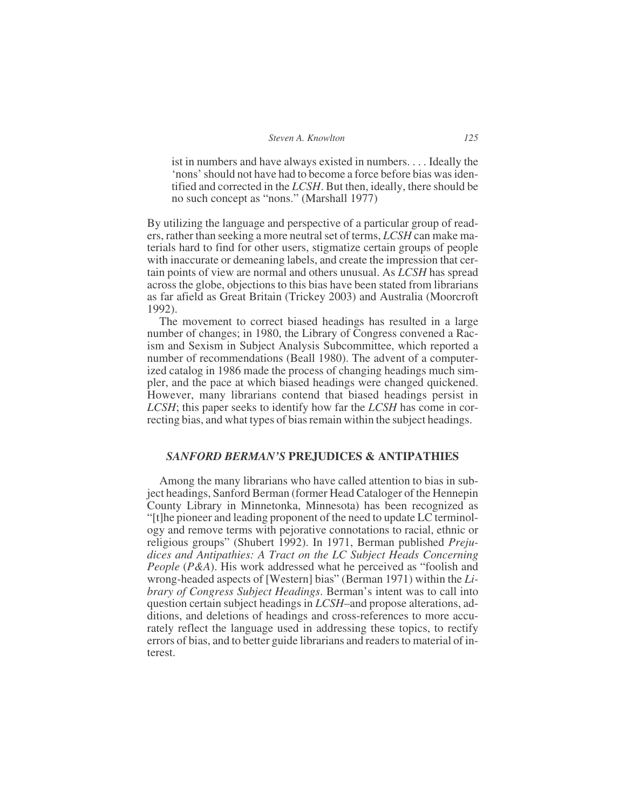ist in numbers and have always existed in numbers. . . . Ideally the 'nons' should not have had to become a force before bias was identified and corrected in the *LCSH*. But then, ideally, there should be no such concept as "nons." (Marshall 1977)

By utilizing the language and perspective of a particular group of readers, rather than seeking a more neutral set of terms, *LCSH* can make materials hard to find for other users, stigmatize certain groups of people with inaccurate or demeaning labels, and create the impression that certain points of view are normal and others unusual. As *LCSH* has spread across the globe, objections to this bias have been stated from librarians as far afield as Great Britain (Trickey 2003) and Australia (Moorcroft 1992).

The movement to correct biased headings has resulted in a large number of changes; in 1980, the Library of Congress convened a Racism and Sexism in Subject Analysis Subcommittee, which reported a number of recommendations (Beall 1980). The advent of a computerized catalog in 1986 made the process of changing headings much simpler, and the pace at which biased headings were changed quickened. However, many librarians contend that biased headings persist in *LCSH*; this paper seeks to identify how far the *LCSH* has come in correcting bias, and what types of bias remain within the subject headings.

## *SANFORD BERMAN'S* **PREJUDICES & ANTIPATHIES**

Among the many librarians who have called attention to bias in subject headings, Sanford Berman (former Head Cataloger of the Hennepin County Library in Minnetonka, Minnesota) has been recognized as "[t]he pioneer and leading proponent of the need to update LC terminology and remove terms with pejorative connotations to racial, ethnic or religious groups" (Shubert 1992). In 1971, Berman published *Prejudices and Antipathies: A Tract on the LC Subject Heads Concerning People* (*P&A*). His work addressed what he perceived as "foolish and wrong-headed aspects of [Western] bias" (Berman 1971) within the *Library of Congress Subject Headings*. Berman's intent was to call into question certain subject headings in *LCSH*–and propose alterations, additions, and deletions of headings and cross-references to more accurately reflect the language used in addressing these topics, to rectify errors of bias, and to better guide librarians and readers to material of interest.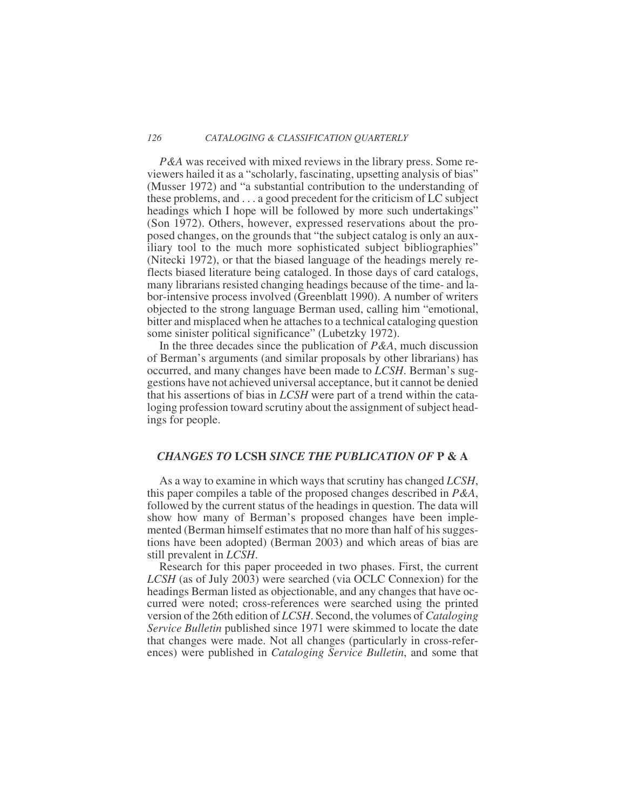*P&A* was received with mixed reviews in the library press. Some reviewers hailed it as a "scholarly, fascinating, upsetting analysis of bias" (Musser 1972) and "a substantial contribution to the understanding of these problems, and ...a good precedent for the criticism of LC subject headings which I hope will be followed by more such undertakings" (Son 1972). Others, however, expressed reservations about the proposed changes, on the grounds that "the subject catalog is only an auxiliary tool to the much more sophisticated subject bibliographies" (Nitecki 1972), or that the biased language of the headings merely reflects biased literature being cataloged. In those days of card catalogs, many librarians resisted changing headings because of the time- and labor-intensive process involved (Greenblatt 1990). A number of writers objected to the strong language Berman used, calling him "emotional, bitter and misplaced when he attaches to a technical cataloging question some sinister political significance" (Lubetzky 1972).

In the three decades since the publication of *P&A*, much discussion of Berman's arguments (and similar proposals by other librarians) has occurred, and many changes have been made to *LCSH*. Berman's suggestions have not achieved universal acceptance, but it cannot be denied that his assertions of bias in *LCSH* were part of a trend within the cataloging profession toward scrutiny about the assignment of subject headings for people.

## *CHANGES TO* **LCSH** *SINCE THE PUBLICATION OF* **P & A**

As a way to examine in which ways that scrutiny has changed *LCSH*, this paper compiles a table of the proposed changes described in *P&A*, followed by the current status of the headings in question. The data will show how many of Berman's proposed changes have been implemented (Berman himself estimates that no more than half of his suggestions have been adopted) (Berman 2003) and which areas of bias are still prevalent in *LCSH*.

Research for this paper proceeded in two phases. First, the current *LCSH* (as of July 2003) were searched (via OCLC Connexion) for the headings Berman listed as objectionable, and any changes that have occurred were noted; cross-references were searched using the printed version of the 26th edition of *LCSH*. Second, the volumes of *Cataloging Service Bulletin* published since 1971 were skimmed to locate the date that changes were made. Not all changes (particularly in cross-references) were published in *Cataloging Service Bulletin*, and some that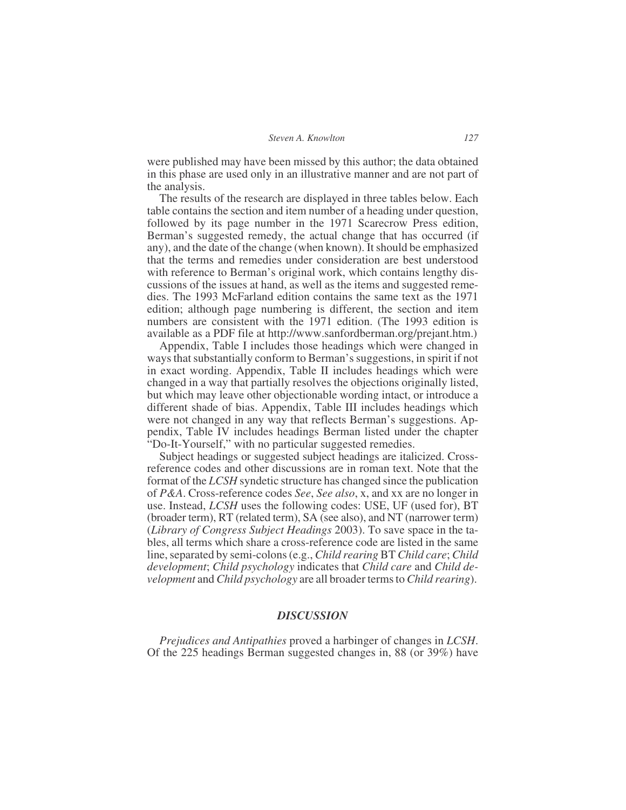were published may have been missed by this author; the data obtained in this phase are used only in an illustrative manner and are not part of the analysis.

The results of the research are displayed in three tables below. Each table contains the section and item number of a heading under question, followed by its page number in the 1971 Scarecrow Press edition, Berman's suggested remedy, the actual change that has occurred (if any), and the date of the change (when known). It should be emphasized that the terms and remedies under consideration are best understood with reference to Berman's original work, which contains lengthy discussions of the issues at hand, as well as the items and suggested remedies. The 1993 McFarland edition contains the same text as the 1971 edition; although page numbering is different, the section and item numbers are consistent with the 1971 edition. (The 1993 edition is available as a PDF file at<http://www.sanfordberman.org/prejant.htm>.)

Appendix, Table I includes those headings which were changed in ways that substantially conform to Berman's suggestions, in spirit if not in exact wording. Appendix, Table II includes headings which were changed in a way that partially resolves the objections originally listed, but which may leave other objectionable wording intact, or introduce a different shade of bias. Appendix, Table III includes headings which were not changed in any way that reflects Berman's suggestions. Appendix, Table IV includes headings Berman listed under the chapter "Do-It-Yourself," with no particular suggested remedies.

Subject headings or suggested subject headings are italicized. Crossreference codes and other discussions are in roman text. Note that the format of the *LCSH* syndetic structure has changed since the publication of *P&A*. Cross-reference codes *See*, *See also*, x, and xx are no longer in use. Instead, *LCSH* uses the following codes: USE, UF (used for), BT (broader term), RT (related term), SA (see also), and NT (narrower term) (*Library of Congress Subject Headings* 2003). To save space in the tables, all terms which share a cross-reference code are listed in the same line, separated by semi-colons (e.g., *Child rearing* BT *Child care*; *Child development*; *Child psychology* indicates that *Child care* and *Child development* and *Child psychology* are all broader terms to *Child rearing*).

### *DISCUSSION*

*Prejudices and Antipathies* proved a harbinger of changes in *LCSH*. Of the 225 headings Berman suggested changes in, 88 (or 39%) have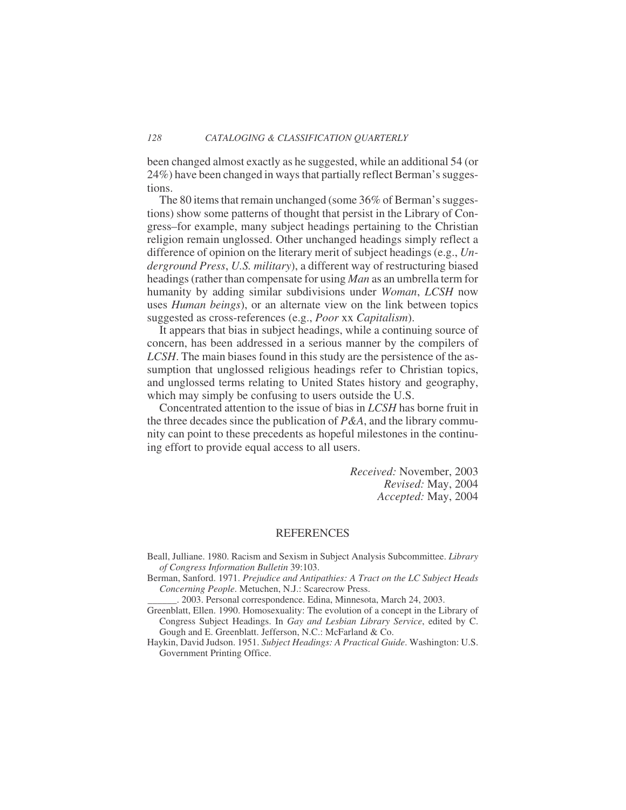been changed almost exactly as he suggested, while an additional 54 (or 24%) have been changed in ways that partially reflect Berman's suggestions.

The 80 items that remain unchanged (some 36% of Berman's suggestions) show some patterns of thought that persist in the Library of Congress–for example, many subject headings pertaining to the Christian religion remain unglossed. Other unchanged headings simply reflect a difference of opinion on the literary merit of subject headings (e.g., *Underground Press*, *U.S. military*), a different way of restructuring biased headings (rather than compensate for using *Man* as an umbrella term for humanity by adding similar subdivisions under *Woman*, *LCSH* now uses *Human beings*), or an alternate view on the link between topics suggested as cross-references (e.g., *Poor* xx *Capitalism*).

It appears that bias in subject headings, while a continuing source of concern, has been addressed in a serious manner by the compilers of *LCSH*. The main biases found in this study are the persistence of the assumption that unglossed religious headings refer to Christian topics, and unglossed terms relating to United States history and geography, which may simply be confusing to users outside the U.S.

Concentrated attention to the issue of bias in *LCSH* has borne fruit in the three decades since the publication of *P&A*, and the library community can point to these precedents as hopeful milestones in the continuing effort to provide equal access to all users.

> *Received:* November, 2003 *Revised:* May, 2004 *Accepted:* May, 2004

#### **REFERENCES**

Beall, Julliane. 1980. Racism and Sexism in Subject Analysis Subcommittee. *Library of Congress Information Bulletin* 39:103.

Berman, Sanford. 1971. *Prejudice and Antipathies: A Tract on the LC Subject Heads Concerning People*. Metuchen, N.J.: Scarecrow Press.

\_\_\_\_\_\_. 2003. Personal correspondence. Edina, Minnesota, March 24, 2003.

Greenblatt, Ellen. 1990. Homosexuality: The evolution of a concept in the Library of Congress Subject Headings. In *Gay and Lesbian Library Service*, edited by C. Gough and E. Greenblatt. Jefferson, N.C.: McFarland & Co.

Haykin, David Judson. 1951. *Subject Headings: A Practical Guide*. Washington: U.S. Government Printing Office.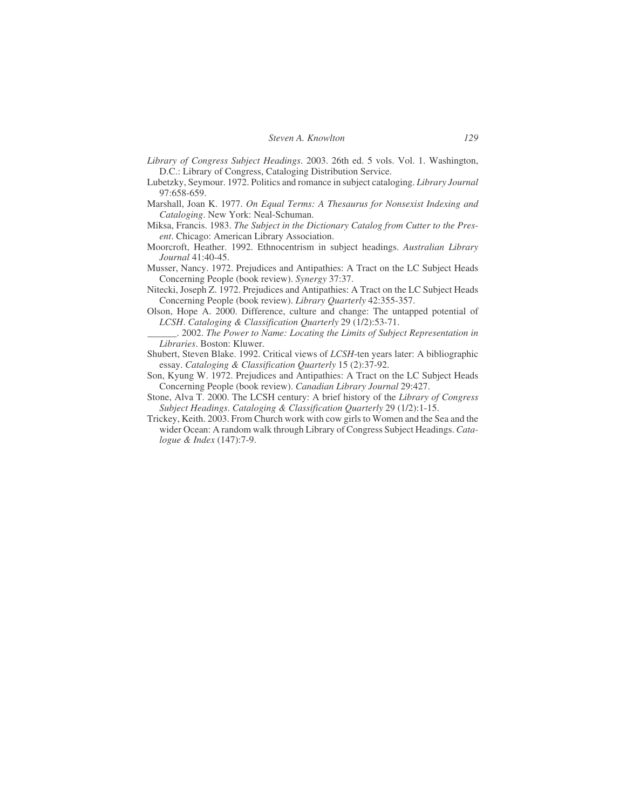- *Library of Congress Subject Headings*. 2003. 26th ed. 5 vols. Vol. 1. Washington, D.C.: Library of Congress, Cataloging Distribution Service.
- Lubetzky, Seymour. 1972. Politics and romance in subject cataloging. *Library Journal* 97:658-659.
- Marshall, Joan K. 1977. *On Equal Terms: A Thesaurus for Nonsexist Indexing and Cataloging*. New York: Neal-Schuman.
- Miksa, Francis. 1983. *The Subject in the Dictionary Catalog from Cutter to the Present*. Chicago: American Library Association.
- Moorcroft, Heather. 1992. Ethnocentrism in subject headings. *Australian Library Journal* 41:40-45.
- Musser, Nancy. 1972. Prejudices and Antipathies: A Tract on the LC Subject Heads Concerning People (book review). *Synergy* 37:37.
- Nitecki, Joseph Z. 1972. Prejudices and Antipathies: A Tract on the LC Subject Heads Concerning People (book review). *Library Quarterly* 42:355-357.
- Olson, Hope A. 2000. Difference, culture and change: The untapped potential of *LCSH*. *Cataloging & Classification Quarterly* 29 (1/2):53-71.
	- \_\_\_\_\_\_. 2002. *The Power to Name: Locating the Limits of Subject Representation in Libraries*. Boston: Kluwer.
- Shubert, Steven Blake. 1992. Critical views of *LCSH*-ten years later: A bibliographic essay. *Cataloging & Classification Quarterly* 15 (2):37-92.
- Son, Kyung W. 1972. Prejudices and Antipathies: A Tract on the LC Subject Heads Concerning People (book review). *Canadian Library Journal* 29:427.
- Stone, Alva T. 2000. The LCSH century: A brief history of the *Library of Congress Subject Headings*. *Cataloging & Classification Quarterly* 29 (1/2):1-15.
- Trickey, Keith. 2003. From Church work with cow girls to Women and the Sea and the wider Ocean: A random walk through Library of Congress Subject Headings. *Catalogue & Index* (147):7-9.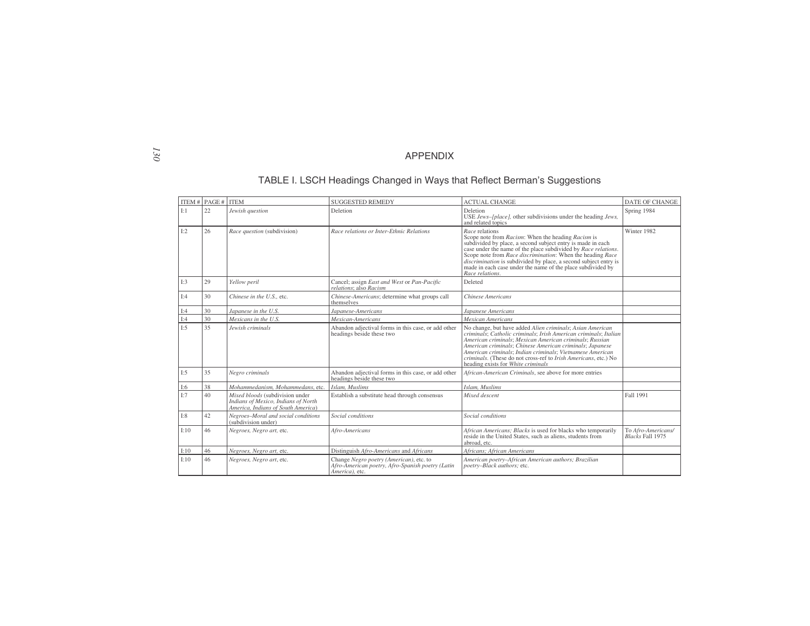#### APPENDIX

### TABLE I. LSCH Headings Changed in Ways that Reflect Berman's Suggestions

|      | ITEM # $PAGE #$ | <b>ITEM</b>                                                                                                  | <b>SUGGESTED REMEDY</b>                                                                                       | <b>ACTUAL CHANGE</b>                                                                                                                                                                                                                                                                                                                                                                                                       | <b>DATE OF CHANGE</b>                  |
|------|-----------------|--------------------------------------------------------------------------------------------------------------|---------------------------------------------------------------------------------------------------------------|----------------------------------------------------------------------------------------------------------------------------------------------------------------------------------------------------------------------------------------------------------------------------------------------------------------------------------------------------------------------------------------------------------------------------|----------------------------------------|
| I:1  | 22              | Jewish question                                                                                              | Deletion                                                                                                      | Deletion<br>USE Jews-[place], other subdivisions under the heading Jews,<br>and related topics                                                                                                                                                                                                                                                                                                                             | Spring 1984                            |
| I:2  | 26              | Race question (subdivision)                                                                                  | Race relations or Inter-Ethnic Relations                                                                      | Race relations<br>Scope note from Racism: When the heading Racism is<br>subdivided by place, a second subject entry is made in each<br>case under the name of the place subdivided by Race relations.<br>Scope note from Race discrimination: When the heading Race<br>discrimination is subdivided by place, a second subject entry is<br>made in each case under the name of the place subdivided by<br>Race relations.  | Winter 1982                            |
| I:3  | 29              | Yellow peril                                                                                                 | Cancel; assign East and West or Pan-Pacific<br>relations: also Racism                                         | Deleted                                                                                                                                                                                                                                                                                                                                                                                                                    |                                        |
| I:4  | 30              | Chinese in the U.S., etc.                                                                                    | Chinese-Americans; determine what groups call<br>themselves                                                   | Chinese Americans                                                                                                                                                                                                                                                                                                                                                                                                          |                                        |
| I:4  | 30              | Japanese in the U.S.                                                                                         | Japanese-Americans                                                                                            | Japanese Americans                                                                                                                                                                                                                                                                                                                                                                                                         |                                        |
| I:4  | 30              | Mexicans in the U.S.                                                                                         | Mexican-Americans                                                                                             | <b>Mexican Americans</b>                                                                                                                                                                                                                                                                                                                                                                                                   |                                        |
| I:5  | 35              | Jewish criminals                                                                                             | Abandon adjectival forms in this case, or add other<br>headings beside these two                              | No change, but have added Alien criminals; Asian American<br>criminals; Catholic criminals; Irish American criminals; Italian<br>American criminals; Mexican American criminals; Russian<br>American criminals; Chinese American criminals; Japanese<br>American criminals; Indian criminals; Vietnamese American<br>criminals. (These do not cross-ref to Irish Americans, etc.) No<br>heading exists for White criminals |                                        |
| I:5  | 35              | Negro criminals                                                                                              | Abandon adjectival forms in this case, or add other<br>headings beside these two                              | African-American Criminals, see above for more entries                                                                                                                                                                                                                                                                                                                                                                     |                                        |
| I:6  | 38              | Mohammedanism, Mohammedans, etc.                                                                             | Islam, Muslims                                                                                                | Islam, Muslims                                                                                                                                                                                                                                                                                                                                                                                                             |                                        |
| I:7  | 40              | Mixed bloods (subdivision under<br>Indians of Mexico, Indians of North<br>America, Indians of South America) | Establish a substitute head through consensus                                                                 | Mixed descent                                                                                                                                                                                                                                                                                                                                                                                                              | Fall 1991                              |
| I:8  | 42              | Negroes-Moral and social conditions<br>(subdivision under)                                                   | Social conditions                                                                                             | Social conditions                                                                                                                                                                                                                                                                                                                                                                                                          |                                        |
| I:10 | 46              | Negroes, Negro art, etc.                                                                                     | Afro-Americans                                                                                                | African Americans; Blacks is used for blacks who temporarily<br>reside in the United States, such as aliens, students from<br>abroad, etc.                                                                                                                                                                                                                                                                                 | To Afro-Americans/<br>Blacks Fall 1975 |
| I:10 | 46              | Negroes, Negro art, etc.                                                                                     | Distinguish Afro-Americans and Africans                                                                       | Africans: African Americans                                                                                                                                                                                                                                                                                                                                                                                                |                                        |
| I:10 | 46              | Negroes, Negro art, etc.                                                                                     | Change Negro poetry (American), etc. to<br>Afro-American poetry, Afro-Spanish poetry (Latin<br>America), etc. | American poetry-African American authors; Brazilian<br>poetry-Black authors; etc.                                                                                                                                                                                                                                                                                                                                          |                                        |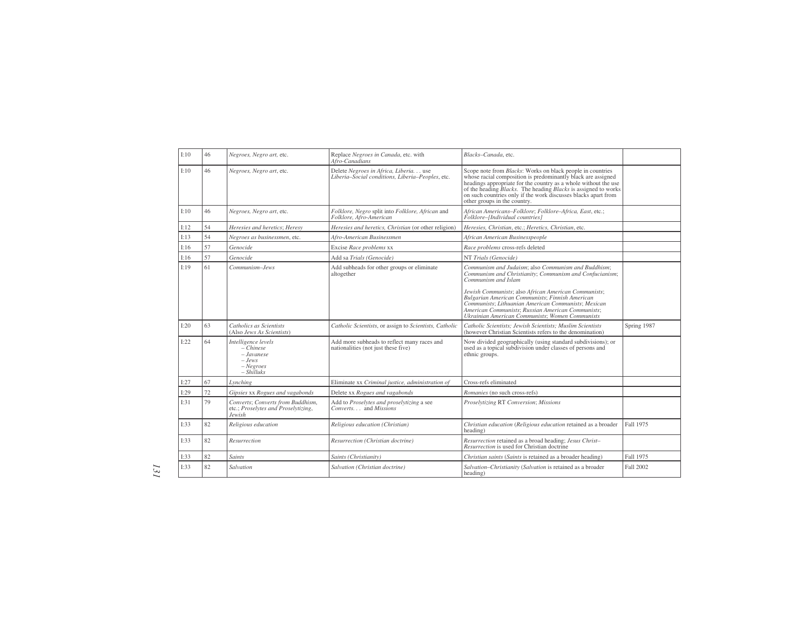| I:10 | 46 | Negroes, Negro art, etc.                                                               | Replace Negroes in Canada, etc. with                                                      | Blacks-Canada, etc.                                                                                                                                                                                                                                                                                                                                                                      |                  |
|------|----|----------------------------------------------------------------------------------------|-------------------------------------------------------------------------------------------|------------------------------------------------------------------------------------------------------------------------------------------------------------------------------------------------------------------------------------------------------------------------------------------------------------------------------------------------------------------------------------------|------------------|
|      |    |                                                                                        | Afro-Canadians                                                                            |                                                                                                                                                                                                                                                                                                                                                                                          |                  |
| I:10 | 46 | Negroes, Negro art, etc.                                                               | Delete Negroes in Africa, Liberia use<br>Liberia-Social conditions, Liberia-Peoples, etc. | Scope note from <i>Blacks</i> : Works on black people in countries<br>whose racial composition is predominantly black are assigned<br>headings appropriate for the country as a whole without the use<br>of the heading <i>Blacks</i> . The heading <i>Blacks</i> is assigned to works<br>on such countries only if the work discusses blacks apart from<br>other groups in the country. |                  |
| I:10 | 46 | Negroes, Negro art, etc.                                                               | Folklore, Negro split into Folklore, African and<br>Folklore, Afro-American               | African Americans-Folklore; Folklore-Africa, East, etc.;<br>Folklore-[Individual countries]                                                                                                                                                                                                                                                                                              |                  |
| I:12 | 54 | Heresies and heretics: Heresy                                                          | Heresies and heretics, Christian (or other religion)                                      | Heresies, Christian, etc.: Heretics, Christian, etc.                                                                                                                                                                                                                                                                                                                                     |                  |
| I:13 | 54 | Negroes as businessmen, etc.                                                           | Afro-American Businessmen                                                                 | African American Businesspeople                                                                                                                                                                                                                                                                                                                                                          |                  |
| I:16 | 57 | Genocide                                                                               | Excise Race problems xx                                                                   | Race problems cross-refs deleted                                                                                                                                                                                                                                                                                                                                                         |                  |
| I:16 | 57 | Genocide                                                                               | Add sa Trials (Genocide)                                                                  | NT Trials (Genocide)                                                                                                                                                                                                                                                                                                                                                                     |                  |
| I:19 | 61 | Communism-Jews                                                                         | Add subheads for other groups or eliminate<br>altogether                                  | Communism and Judaism; also Communism and Buddhism;<br>Communism and Christianity; Communism and Confucianism;<br>Communism and Islam<br>Jewish Communists; also African American Communists;                                                                                                                                                                                            |                  |
|      |    |                                                                                        |                                                                                           | Bulgarian American Communists; Finnish American<br>Communists; Lithuanian American Communists; Mexican<br>American Communists; Russian American Communists;<br>Ukrainian American Communists: Women Communists                                                                                                                                                                           |                  |
| I:20 | 63 | Catholics as Scientists<br>(Also Jews As Scientists)                                   | Catholic Scientists, or assign to Scientists, Catholic                                    | Catholic Scientists; Jewish Scientists; Muslim Scientists<br>(however Christian Scientists refers to the denomination)                                                                                                                                                                                                                                                                   | Spring 1987      |
| I:22 | 64 | Intelligence levels<br>$-Chinese$<br>$-Javanese$<br>$-$ Jews<br>$-Ne\,$<br>$-Shilluks$ | Add more subheads to reflect many races and<br>nationalities (not just these five)        | Now divided geographically (using standard subdivisions); or<br>used as a topical subdivision under classes of persons and<br>ethnic groups.                                                                                                                                                                                                                                             |                  |
| I:27 | 67 | Lynching                                                                               | Eliminate xx Criminal justice, administration of                                          | Cross-refs eliminated                                                                                                                                                                                                                                                                                                                                                                    |                  |
| I:29 | 72 | Gipsies xx Rogues and vagabonds                                                        | Delete xx Rogues and vagabonds                                                            | Romanies (no such cross-refs)                                                                                                                                                                                                                                                                                                                                                            |                  |
| I:31 | 79 | Converts; Converts from Buddhism,<br>etc.; Proselytes and Proselytizing,<br>Jewish     | Add to Proselytes and proselytizing a see<br>Converts and Missions                        | Proselytizing RT Conversion; Missions                                                                                                                                                                                                                                                                                                                                                    |                  |
| I:33 | 82 | Religious education                                                                    | Religious education (Christian)                                                           | Christian education (Religious education retained as a broader<br>heading)                                                                                                                                                                                                                                                                                                               | Fall 1975        |
| I:33 | 82 | Resurrection                                                                           | Resurrection (Christian doctrine)                                                         | Resurrection retained as a broad heading; Jesus Christ-<br>Resurrection is used for Christian doctrine                                                                                                                                                                                                                                                                                   |                  |
| I:33 | 82 | <b>Saints</b>                                                                          | Saints (Christianity)                                                                     | Christian saints (Saints is retained as a broader heading)                                                                                                                                                                                                                                                                                                                               | Fall 1975        |
| I:33 | 82 | Salvation                                                                              | Salvation (Christian doctrine)                                                            | Salvation-Christianity (Salvation is retained as a broader<br>heading)                                                                                                                                                                                                                                                                                                                   | <b>Fall 2002</b> |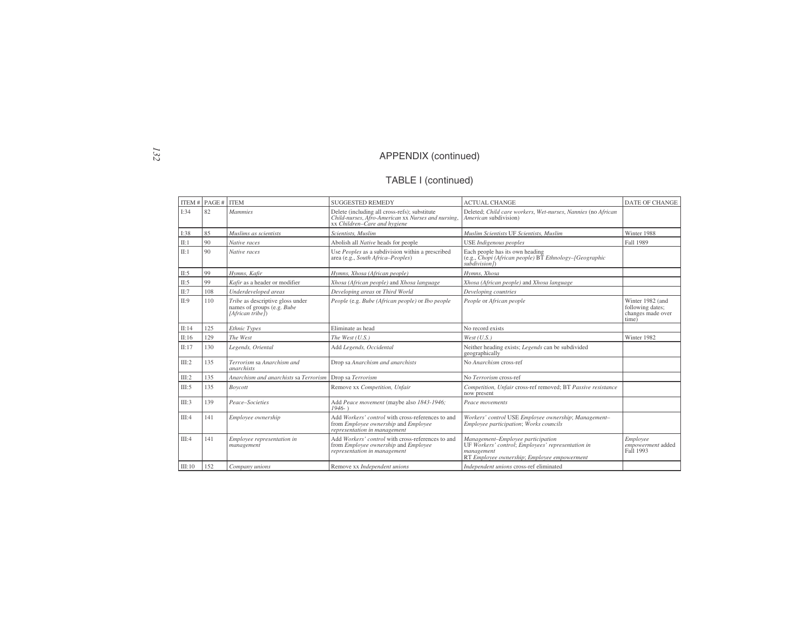## TABLE I (continued)

|        | ITEM # $PAGE #$ ITEM |                                                                                    | <b>SUGGESTED REMEDY</b>                                                                                                             | <b>ACTUAL CHANGE</b>                                                                                                                                | <b>DATE OF CHANGE</b>                                              |
|--------|----------------------|------------------------------------------------------------------------------------|-------------------------------------------------------------------------------------------------------------------------------------|-----------------------------------------------------------------------------------------------------------------------------------------------------|--------------------------------------------------------------------|
| I:34   | 82                   | <b>Mammies</b>                                                                     | Delete (including all cross-refs); substitute<br>Child-nurses, Afro-American xx Nurses and nursing,<br>xx Children-Care and hygiene | Deleted; Child care workers, Wet-nurses, Nannies (no African<br>American subdivision)                                                               |                                                                    |
| I:38   | 85                   | Muslims as scientists                                                              | Scientists, Muslim                                                                                                                  | Muslim Scientists UF Scientists, Muslim                                                                                                             | Winter 1988                                                        |
| II:1   | 90                   | Native races                                                                       | Abolish all Native heads for people                                                                                                 | <b>USE</b> Indigenous peoples                                                                                                                       | <b>Fall 1989</b>                                                   |
| II:1   | 90                   | Native races                                                                       | Use Peoples as a subdivision within a prescribed<br>area (e.g., South Africa-Peoples)                                               | Each people has its own heading<br>(e.g., Chopi (African people) BT Ethnology-[Geographic<br>$subdivision$ )                                        |                                                                    |
| II:5   | 99                   | Hymns, Kafir                                                                       | Hymns, Xhosa (African people)                                                                                                       | Hymns, Xhosa                                                                                                                                        |                                                                    |
| II:5   | 99                   | Kafir as a header or modifier                                                      | Xhosa (African people) and Xhosa language                                                                                           | Xhosa (African people) and Xhosa language                                                                                                           |                                                                    |
| II:7   | 108                  | Underdeveloped areas                                                               | Developing areas or Third World                                                                                                     | Developing countries                                                                                                                                |                                                                    |
| II:9   | 110                  | Tribe as descriptive gloss under<br>names of groups (e.g. Bube<br>[African tribe]) | People (e.g. Bube (African people) or Ibo people                                                                                    | People or African people                                                                                                                            | Winter 1982 (and<br>following dates;<br>changes made over<br>time) |
| II:14  | 125                  | Ethnic Types                                                                       | Eliminate as head                                                                                                                   | No record exists                                                                                                                                    |                                                                    |
| II:16  | 129                  | The West                                                                           | The West $(U.S.)$                                                                                                                   | West (U.S.)                                                                                                                                         | Winter 1982                                                        |
| II:17  | 130                  | Legends, Oriental                                                                  | Add Legends, Occidental                                                                                                             | Neither heading exists; Legends can be subdivided<br>geographically                                                                                 |                                                                    |
| III:2  | 135                  | Terrorism sa Anarchism and<br><i>anarchists</i>                                    | Drop sa Anarchism and anarchists                                                                                                    | No Anarchism cross-ref                                                                                                                              |                                                                    |
| III:2  | 135                  | Anarchism and anarchists sa Terrorism                                              | Drop sa Terrorism                                                                                                                   | No Terrorism cross-ref                                                                                                                              |                                                                    |
| III:5  | 135                  | Boycott                                                                            | Remove xx Competition, Unfair                                                                                                       | Competition, Unfair cross-ref removed; BT Passive resistance<br>now present                                                                         |                                                                    |
| III:3  | 139                  | Peace-Societies                                                                    | Add Peace movement (maybe also 1843-1946;<br>$1946-$                                                                                | Peace movements                                                                                                                                     |                                                                    |
| III:4  | 141                  | Employee ownership                                                                 | Add Workers' control with cross-references to and<br>from Employee ownership and Employee<br>representation in management           | Workers' control USE Employee ownership; Management-<br>Employee participation; Works councils                                                      |                                                                    |
| III:4  | 141                  | Employee representation in<br>management                                           | Add Workers' control with cross-references to and<br>from Employee ownership and Employee<br>representation in management           | Management-Employee participation<br>UF Workers' control; Employees' representation in<br>management<br>RT Employee ownership; Employee empowerment | Employee<br>empowerment added<br>Fall 1993                         |
| III:10 | 152                  | Company unions                                                                     | Remove xx Independent unions                                                                                                        | Independent unions cross-ref eliminated                                                                                                             |                                                                    |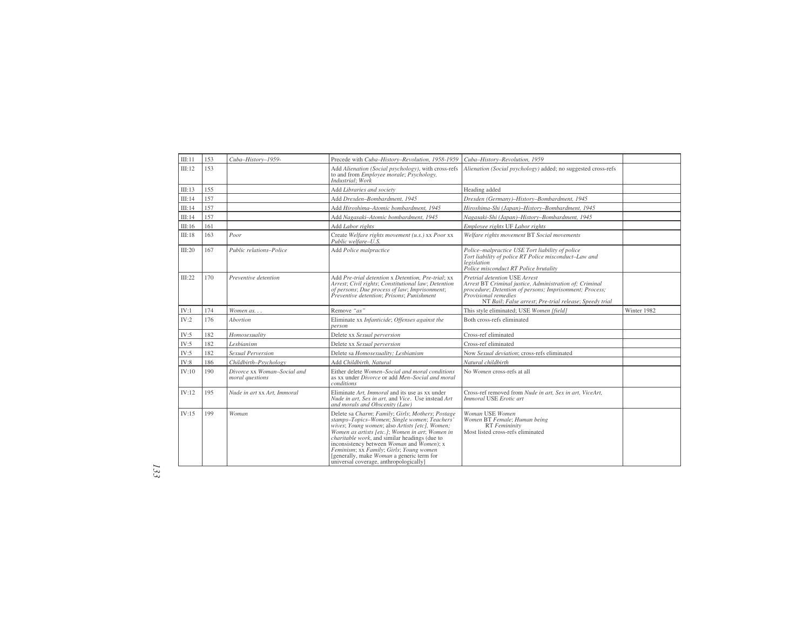| III:11        | 153 | Cuba-History-1959-                             | Precede with Cuba-History-Revolution, 1958-1959                                                                                                                                                                                                                                                                                                                                                                                                     | Cuba-History-Revolution, 1959                                                                                                                                                                                                         |             |
|---------------|-----|------------------------------------------------|-----------------------------------------------------------------------------------------------------------------------------------------------------------------------------------------------------------------------------------------------------------------------------------------------------------------------------------------------------------------------------------------------------------------------------------------------------|---------------------------------------------------------------------------------------------------------------------------------------------------------------------------------------------------------------------------------------|-------------|
| III:12        | 153 |                                                | Add Alienation (Social psychology), with cross-refs<br>to and from <i>Employee morale</i> ; <i>Psychology</i> ,<br>Industrial; Work                                                                                                                                                                                                                                                                                                                 | Alienation (Social psychology) added; no suggested cross-refs                                                                                                                                                                         |             |
| III:13        | 155 |                                                | Add Libraries and society                                                                                                                                                                                                                                                                                                                                                                                                                           | Heading added                                                                                                                                                                                                                         |             |
| III:14        | 157 |                                                | Add Dresden-Bombardment, 1945                                                                                                                                                                                                                                                                                                                                                                                                                       | Dresden (Germany)-History-Bombardment, 1945                                                                                                                                                                                           |             |
| III:14        | 157 |                                                | Add Hiroshima-Atomic bombardment, 1945                                                                                                                                                                                                                                                                                                                                                                                                              | Hiroshima-Shi (Japan)-History-Bombardment, 1945                                                                                                                                                                                       |             |
| III:14        | 157 |                                                | Add Nagasaki-Atomic bombardment, 1945                                                                                                                                                                                                                                                                                                                                                                                                               | Nagasaki-Shi (Japan)-History-Bombardment, 1945                                                                                                                                                                                        |             |
| III:16        | 161 |                                                | Add Labor rights                                                                                                                                                                                                                                                                                                                                                                                                                                    | Employee rights UF Labor rights                                                                                                                                                                                                       |             |
| III:18        | 163 | Poor                                           | Create Welfare rights movement (u.s.) xx Poor xx<br>Public welfare-U.S.                                                                                                                                                                                                                                                                                                                                                                             | Welfare rights movement BT Social movements                                                                                                                                                                                           |             |
| III:20        | 167 | Public relations-Police                        | Add Police malpractice                                                                                                                                                                                                                                                                                                                                                                                                                              | Police-malpractice USE Tort liability of police<br>Tort liability of police RT Police misconduct-Law and<br>legislation<br>Police misconduct RT Police brutality                                                                      |             |
| III:22        | 170 | Preventive detention                           | Add Pre-trial detention x Detention, Pre-trial; xx<br>Arrest; Civil rights; Constitutional law; Detention<br>of persons; Due process of law; Imprisonment;<br>Preventive detention: Prisons: Punishment                                                                                                                                                                                                                                             | Pretrial detention USE Arrest<br>Arrest BT Criminal justice, Administration of; Criminal<br>procedure; Detention of persons; Imprisonment; Process;<br>Provisional remedies<br>NT Bail; False arrest; Pre-trial release; Speedy trial |             |
| IV:1          | 174 | Women as                                       | Remove "as"                                                                                                                                                                                                                                                                                                                                                                                                                                         | This style eliminated; USE Women [field]                                                                                                                                                                                              | Winter 1982 |
| IV:2          | 176 | Abortion                                       | Eliminate xx Infanticide; Offenses against the<br>person                                                                                                                                                                                                                                                                                                                                                                                            | Both cross-refs eliminated                                                                                                                                                                                                            |             |
| IV:5          | 182 | Homosexuality                                  | Delete xx Sexual perversion                                                                                                                                                                                                                                                                                                                                                                                                                         | Cross-ref eliminated                                                                                                                                                                                                                  |             |
| $\text{IV:5}$ | 182 | Lesbianism                                     | Delete xx Sexual perversion                                                                                                                                                                                                                                                                                                                                                                                                                         | Cross-ref eliminated                                                                                                                                                                                                                  |             |
| IV:5          | 182 | Sexual Perversion                              | Delete sa Homosexuality: Lesbianism                                                                                                                                                                                                                                                                                                                                                                                                                 | Now Sexual deviation; cross-refs eliminated                                                                                                                                                                                           |             |
| IV:8          | 186 | Childbirth-Psychology                          | Add Childbirth, Natural                                                                                                                                                                                                                                                                                                                                                                                                                             | Natural childbirth                                                                                                                                                                                                                    |             |
| IV:10         | 190 | Divorce xx Woman-Social and<br>moral questions | Either delete Women-Social and moral conditions<br>as xx under Divorce or add Men-Social and moral<br>conditions                                                                                                                                                                                                                                                                                                                                    | No Women cross-refs at all                                                                                                                                                                                                            |             |
| IV:12         | 195 | Nude in art xx Art, Immoral                    | Eliminate Art. Immoral and its use as xx under<br>Nude in art, Sex in art, and Vice. Use instead Art<br>and morals and Obscenity (Law)                                                                                                                                                                                                                                                                                                              | Cross-ref removed from Nude in art, Sex in art, ViceArt,<br>Immoral USE Erotic art                                                                                                                                                    |             |
| IV:15         | 199 | Woman                                          | Delete sa Charm; Family; Girls; Mothers; Postage<br>stamps-Topics-Women; Single women; Teachers'<br>wives; Young women; also Artists [etc], Women;<br>Women as artists [etc.]; Women in art; Women in<br>charitable work, and similar headings (due to<br>inconsistency between <i>Woman</i> and <i>Women</i> ); x<br>Feminism; xx Family; Girls; Young women<br>[generally, make Woman a generic term for<br>universal coverage, anthropologically | Woman USE Women<br>Women BT Female; Human being<br>RT Femininity<br>Most listed cross-refs eliminated                                                                                                                                 |             |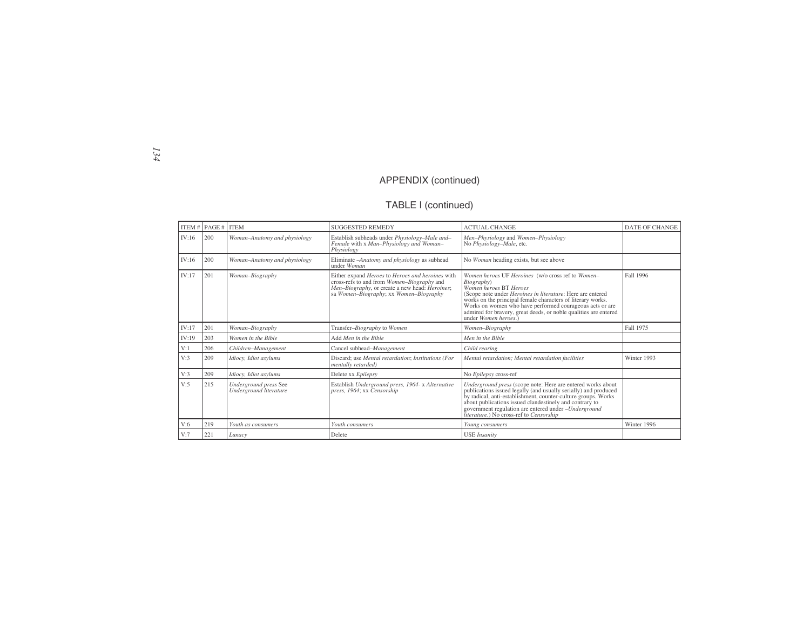# TABLE I (continued)

|       | ITEM # $PAGE # IITEM$ |                                                 | <b>SUGGESTED REMEDY</b>                                                                                                                                                                    | <b>ACTUAL CHANGE</b>                                                                                                                                                                                                                                                                                                                                                          | <b>DATE OF CHANGE</b> |
|-------|-----------------------|-------------------------------------------------|--------------------------------------------------------------------------------------------------------------------------------------------------------------------------------------------|-------------------------------------------------------------------------------------------------------------------------------------------------------------------------------------------------------------------------------------------------------------------------------------------------------------------------------------------------------------------------------|-----------------------|
| IV:16 | 200                   | Woman-Anatomy and physiology                    | Establish subheads under Physiology-Male and-<br>Female with x Man-Physiology and Woman-<br>Physiology                                                                                     | Men-Physiology and Women-Physiology<br>No Physiology-Male, etc.                                                                                                                                                                                                                                                                                                               |                       |
| IV:16 | 200                   | Woman-Anatomy and physiology                    | Eliminate - <i>Anatomy and physiology</i> as subhead<br>under Woman                                                                                                                        | No Woman heading exists, but see above                                                                                                                                                                                                                                                                                                                                        |                       |
| IV:17 | 201                   | Woman-Biography                                 | Either expand Heroes to Heroes and heroines with<br>cross-refs to and from Women-Biography and<br>Men-Biography, or create a new head: Heroines;<br>sa Women-Biography; xx Women-Biography | Women heroes UF Heroines (w/o cross ref to Women-<br>Biography)<br>Women heroes BT Heroes<br>(Scope note under Heroines in literature: Here are entered<br>works on the principal female characters of literary works.<br>Works on women who have performed courageous acts or are<br>admired for bravery, great deeds, or noble qualities are entered<br>under Women heroes. | Fall 1996             |
| IV:17 | 201                   | Woman-Biography                                 | Transfer-Biography to Women                                                                                                                                                                | Women-Biography                                                                                                                                                                                                                                                                                                                                                               | Fall 1975             |
| IV:19 | 203                   | Women in the Bible                              | Add Men in the Bible                                                                                                                                                                       | Men in the Bible                                                                                                                                                                                                                                                                                                                                                              |                       |
| V:1   | 206                   | Children-Management                             | Cancel subhead-Management                                                                                                                                                                  | Child rearing                                                                                                                                                                                                                                                                                                                                                                 |                       |
| V:3   | 209                   | Idiocy, Idiot asylums                           | Discard; use Mental retardation; Institutions (For<br>mentally retarded)                                                                                                                   | Mental retardation; Mental retardation facilities                                                                                                                                                                                                                                                                                                                             | Winter 1993           |
| V:3   | 209                   | Idiocy, Idiot asylums                           | Delete xx Epilepsy                                                                                                                                                                         | No Epilepsy cross-ref                                                                                                                                                                                                                                                                                                                                                         |                       |
| V:5   | 215                   | Underground press See<br>Underground literature | Establish Underground press, 1964- x Alternative<br>press, 1964; xx Censorship                                                                                                             | Underground press (scope note: Here are entered works about publications issued legally (and usually serially) and produced<br>by radical, anti-establishment, counter-culture groups. Works<br>about publications issued clandestinely and contrary to<br>government regulation are entered under -Underground<br>literature.) No cross-ref to Censorship                    |                       |
| V:6   | 219                   | Youth as consumers                              | Youth consumers                                                                                                                                                                            | Young consumers                                                                                                                                                                                                                                                                                                                                                               | Winter 1996           |
| V:7   | 221                   | Lunacy                                          | Delete                                                                                                                                                                                     | <b>USE</b> Insanity                                                                                                                                                                                                                                                                                                                                                           |                       |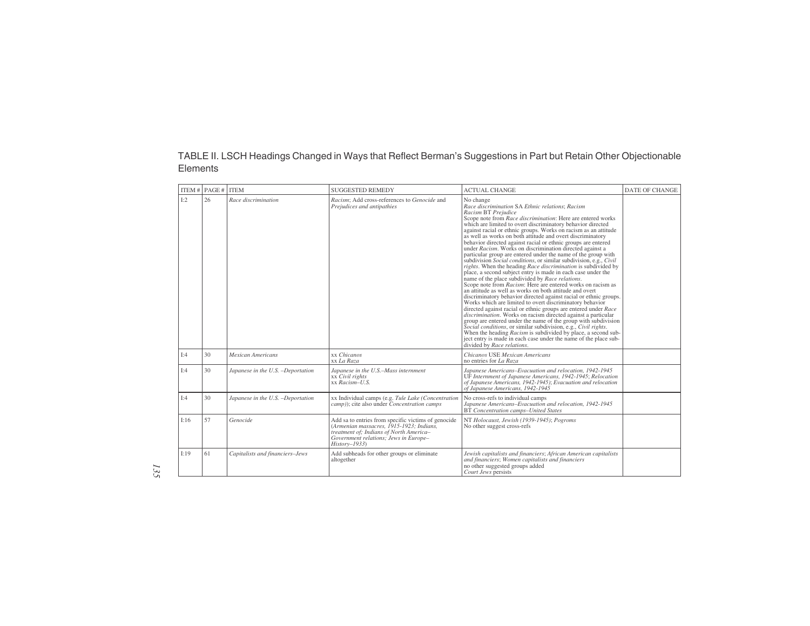#### TABLE II. LSCH Headings Changed in Ways that Reflect Berman's Suggestions in Part but Retain Other Objectionable Elements

|      | ITEM $\#$ PAGE $\#$ ITEM |                                   | <b>SUGGESTED REMEDY</b>                                                                                                                                                                               | <b>ACTUAL CHANGE</b>                                                                                                                                                                                                                                                                                                                                                                                                                                                                                                                                                                                                                                                                                                                                                                                                                                                                                                                                                                                                                                                                                                                                                                                                                                                                                                                                                                                                                                                                                                 | DATE OF CHANGE |
|------|--------------------------|-----------------------------------|-------------------------------------------------------------------------------------------------------------------------------------------------------------------------------------------------------|----------------------------------------------------------------------------------------------------------------------------------------------------------------------------------------------------------------------------------------------------------------------------------------------------------------------------------------------------------------------------------------------------------------------------------------------------------------------------------------------------------------------------------------------------------------------------------------------------------------------------------------------------------------------------------------------------------------------------------------------------------------------------------------------------------------------------------------------------------------------------------------------------------------------------------------------------------------------------------------------------------------------------------------------------------------------------------------------------------------------------------------------------------------------------------------------------------------------------------------------------------------------------------------------------------------------------------------------------------------------------------------------------------------------------------------------------------------------------------------------------------------------|----------------|
| I:2  | 26                       | Race discrimination               | Racism; Add cross-references to Genocide and<br>Prejudices and antipathies                                                                                                                            | No change<br>Race discrimination SA Ethnic relations; Racism<br>Racism BT Prejudice<br>Scope note from Race discrimination: Here are entered works<br>which are limited to overt discriminatory behavior directed<br>against racial or ethnic groups. Works on racism as an attitude as well as works on both attitude and overt discriminatory<br>behavior directed against racial or ethnic groups are entered<br>under Racism. Works on discrimination directed against a<br>particular group are entered under the name of the group with<br>subdivision Social conditions, or similar subdivision, e.g., Civil<br>rights. When the heading Race discrimination is subdivided by<br>place, a second subject entry is made in each case under the<br>name of the place subdivided by Race relations.<br>Scope note from Racism: Here are entered works on racism as<br>an attitude as well as works on both attitude and overt<br>discriminatory behavior directed against racial or ethnic groups.<br>Works which are limited to overt discriminatory behavior<br>directed against racial or ethnic groups are entered under Race<br>discrimination. Works on racism directed against a particular<br>group are entered under the name of the group with subdivision<br>Social conditions, or similar subdivision, e.g., Civil rights.<br>When the heading <i>Racism</i> is subdivided by place, a second sub-<br>ject entry is made in each case under the name of the place sub-<br>divided by Race relations. |                |
| I:4  | 30                       | <b>Mexican Americans</b>          | xx Chicanos<br>xx La Raza                                                                                                                                                                             | Chicanos USE Mexican Americans<br>no entries for La Raza                                                                                                                                                                                                                                                                                                                                                                                                                                                                                                                                                                                                                                                                                                                                                                                                                                                                                                                                                                                                                                                                                                                                                                                                                                                                                                                                                                                                                                                             |                |
| I:4  | 30                       | Japanese in the U.S. -Deportation | Japanese in the U.S.-Mass internment<br>xx Civil rights<br>xx Racism-U.S.                                                                                                                             | Japanese Americans-Evacuation and relocation, 1942-1945<br>UF Internment of Japanese Americans, 1942-1945; Relocation<br>of Japanese Americans, 1942-1945); Evacuation and relocation<br>of Japanese Americans, 1942-1945                                                                                                                                                                                                                                                                                                                                                                                                                                                                                                                                                                                                                                                                                                                                                                                                                                                                                                                                                                                                                                                                                                                                                                                                                                                                                            |                |
| I:4  | 30                       | Japanese in the U.S. -Deportation | xx Individual camps (e.g. Tule Lake (Concentration<br>camp)); cite also under Concentration camps                                                                                                     | No cross-refs to individual camps<br>Japanese Americans-Evacuation and relocation, 1942-1945<br>BT Concentration camps-United States                                                                                                                                                                                                                                                                                                                                                                                                                                                                                                                                                                                                                                                                                                                                                                                                                                                                                                                                                                                                                                                                                                                                                                                                                                                                                                                                                                                 |                |
| I:16 | 57                       | Genocide                          | Add sa to entries from specific victims of genocide<br>(Armenian massacres, 1915-1923; Indians,<br>treatment of; Indians of North America-<br>Government relations; Jews in Europe-<br>$History-1933$ | NT Holocaust, Jewish (1939-1945); Pogroms<br>No other suggest cross-refs                                                                                                                                                                                                                                                                                                                                                                                                                                                                                                                                                                                                                                                                                                                                                                                                                                                                                                                                                                                                                                                                                                                                                                                                                                                                                                                                                                                                                                             |                |
| I:19 | 61                       | Capitalists and financiers-Jews   | Add subheads for other groups or eliminate<br>altogether                                                                                                                                              | Jewish capitalists and financiers; African American capitalists<br>and financiers; Women capitalists and financiers<br>no other suggested groups added<br>Court Jews persists                                                                                                                                                                                                                                                                                                                                                                                                                                                                                                                                                                                                                                                                                                                                                                                                                                                                                                                                                                                                                                                                                                                                                                                                                                                                                                                                        |                |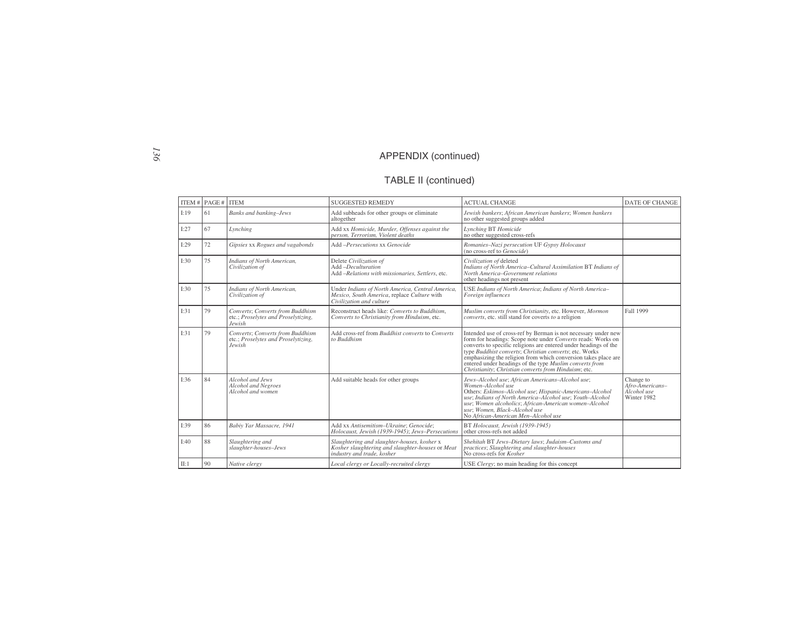# TABLE II (continued)

|      | ITEM # $PAGE #$ ITEM |                                                                                   | <b>SUGGESTED REMEDY</b>                                                                                                       | <b>ACTUAL CHANGE</b>                                                                                                                                                                                                                                                                                                                                                                                                                                           | <b>DATE OF CHANGE</b>                                      |
|------|----------------------|-----------------------------------------------------------------------------------|-------------------------------------------------------------------------------------------------------------------------------|----------------------------------------------------------------------------------------------------------------------------------------------------------------------------------------------------------------------------------------------------------------------------------------------------------------------------------------------------------------------------------------------------------------------------------------------------------------|------------------------------------------------------------|
| I:19 | 61                   | <b>Banks</b> and banking-Jews                                                     | Add subheads for other groups or eliminate<br>altogether                                                                      | Jewish bankers; African American bankers; Women bankers<br>no other suggested groups added                                                                                                                                                                                                                                                                                                                                                                     |                                                            |
| I:27 | 67                   | Lynching                                                                          | Add xx Homicide, Murder, Offenses against the<br>person, Terrorism, Violent deaths                                            | Lynching BT Homicide<br>no other suggested cross-refs                                                                                                                                                                                                                                                                                                                                                                                                          |                                                            |
| I:29 | 72                   | Gipsies xx Rogues and vagabonds                                                   | Add -Persecutions xx Genocide                                                                                                 | Romanies-Nazi persecution UF Gypsy Holocaust<br>(no cross-ref to $Genocide$ )                                                                                                                                                                                                                                                                                                                                                                                  |                                                            |
| I:30 | 75                   | Indians of North American,<br>Civilization of                                     | Delete Civilization of<br>Add -Deculturation<br>Add -Relations with missionaries, Settlers, etc.                              | Civilization of deleted<br>Indians of North America-Cultural Assimilation BT Indians of<br>North America-Government relations<br>other headings not present                                                                                                                                                                                                                                                                                                    |                                                            |
| I:30 | 75                   | Indians of North American,<br>Civilization of                                     | Under Indians of North America, Central America,<br>Mexico, South America, replace Culture with<br>Civilization and culture   | USE Indians of North America; Indians of North America-<br>Foreign influences                                                                                                                                                                                                                                                                                                                                                                                  |                                                            |
| I:31 | 79                   | Converts: Converts from Buddhism<br>etc.; Proselytes and Proselytizing,<br>Jewish | Reconstruct heads like: Converts to Buddhism,<br>Converts to Christianity from Hinduism, etc.                                 | Muslim converts from Christianity, etc. However, Mormon<br>converts, etc. still stand for coverts to a religion                                                                                                                                                                                                                                                                                                                                                | <b>Fall 1999</b>                                           |
| I:31 | 79                   | Converts; Converts from Buddhism<br>etc.; Proselytes and Proselytizing,<br>Jewish | Add cross-ref from Buddhist converts to Converts<br>to Buddhism                                                               | Intended use of cross-ref by Berman is not necessary under new<br>form for headings: Scope note under Converts reads: Works on<br>converts to specific religions are entered under headings of the type <i>Buddhist converts</i> ; <i>Christian converts</i> ; etc. Works<br>emphasizing the religion from which conversion takes place are<br>entered under headings of the type Muslim converts from<br>Christianity; Christian converts from Hinduism; etc. |                                                            |
| I:36 | 84                   | Alcohol and Jews<br>Alcohol and Negroes<br>Alcohol and women                      | Add suitable heads for other groups                                                                                           | Jews-Alcohol use; African Americans-Alcohol use;<br>Women-Alcohol use<br>Others: Eskimos-Alcohol use; Hispanic-Americans-Alcohol<br>use; Indians of North America-Alcohol use; Youth-Alcohol<br>use; Women alcoholics; African-American women-Alcohol<br>use: Women, Black-Alcohol use<br>No African-American Men-Alcohol use                                                                                                                                  | Change to<br>Afro-Americans-<br>Alcohol use<br>Winter 1982 |
| I:39 | 86                   | Babiy Yar Massacre, 1941                                                          | Add xx Antisemitism-Ukraine: Genocide:<br>Holocaust, Jewish (1939-1945); Jews-Persecutions                                    | BT Holocaust, Jewish (1939-1945)<br>other cross-refs not added                                                                                                                                                                                                                                                                                                                                                                                                 |                                                            |
| I:40 | 88                   | Slaughtering and<br>slaughter-houses-Jews                                         | Slaughtering and slaughter-houses, kosher x<br>Kosher slaughtering and slaughter-houses or Meat<br>industry and trade. kosher | Shehitah BT Jews-Dietary laws; Judaism-Customs and<br>practices; Slaughtering and slaughter-houses<br>No cross-refs for Kosher                                                                                                                                                                                                                                                                                                                                 |                                                            |
| II:1 | 90                   | Native clergy                                                                     | Local clergy or Locally-recruited clergy                                                                                      | USE Clergy; no main heading for this concept                                                                                                                                                                                                                                                                                                                                                                                                                   |                                                            |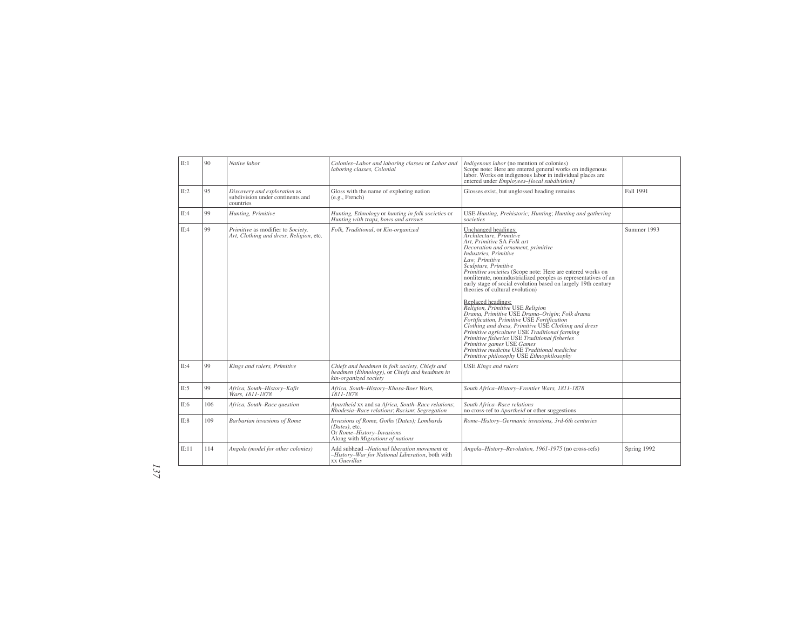| II:1  | 90  | Native labor                                                                  | Colonies-Labor and laboring classes or Labor and<br>laboring classes, Colonial                                               | Indigenous labor (no mention of colonies)<br>Scope note: Here are entered general works on indigenous<br>labor. Works on indigenous labor in individual places are<br>entered under Employees-[local subdivision]                                                                                                                                                                                                                                                                                                                                                                                                                                                                                                                                                                                                                                                     |             |
|-------|-----|-------------------------------------------------------------------------------|------------------------------------------------------------------------------------------------------------------------------|-----------------------------------------------------------------------------------------------------------------------------------------------------------------------------------------------------------------------------------------------------------------------------------------------------------------------------------------------------------------------------------------------------------------------------------------------------------------------------------------------------------------------------------------------------------------------------------------------------------------------------------------------------------------------------------------------------------------------------------------------------------------------------------------------------------------------------------------------------------------------|-------------|
| II:2  | 95  | Discovery and exploration as<br>subdivision under continents and<br>countries | Gloss with the name of exploring nation<br>(e.g., French)                                                                    | Glosses exist, but unglossed heading remains                                                                                                                                                                                                                                                                                                                                                                                                                                                                                                                                                                                                                                                                                                                                                                                                                          | Fall 1991   |
| II:4  | 99  | Hunting, Primitive                                                            | Hunting, Ethnology or hunting in folk societies or<br>Hunting with traps, bows and arrows                                    | USE Hunting, Prehistoric; Hunting; Hunting and gathering<br>societies                                                                                                                                                                                                                                                                                                                                                                                                                                                                                                                                                                                                                                                                                                                                                                                                 |             |
| II:4  | 99  | Primitive as modifier to Society,<br>Art, Clothing and dress, Religion, etc.  | Folk, Traditional, or Kin-organized                                                                                          | Unchanged headings:<br>Architecture, Primitive<br>Art. Primitive SA Folk art<br>Decoration and ornament, primitive<br>Industries, Primitive<br>Law. Primitive<br>Sculpture, Primitive<br>Primitive societies (Scope note: Here are entered works on<br>nonliterate, nonindustrialized peoples as representatives of an<br>early stage of social evolution based on largely 19th century<br>theories of cultural evolution)<br>Replaced headings:<br>Religion, Primitive USE Religion<br>Drama, Primitive USE Drama-Origin; Folk drama<br>Fortification, Primitive USE Fortification<br>Clothing and dress, Primitive USE Clothing and dress<br>Primitive agriculture USE Traditional farming<br>Primitive fisheries USE Traditional fisheries<br>Primitive games USE Games<br>Primitive medicine USE Traditional medicine<br>Primitive philosophy USE Ethnophilosophy | Summer 1993 |
| II:4  | 99  | Kings and rulers, Primitive                                                   | Chiefs and headmen in folk society, Chiefs and<br>headmen (Ethnology), or Chiefs and headmen in<br>kin-organized society     | <b>USE</b> Kings and rulers                                                                                                                                                                                                                                                                                                                                                                                                                                                                                                                                                                                                                                                                                                                                                                                                                                           |             |
| II:5  | 99  | Africa, South-History-Kafir<br>Wars. 1811-1878                                | Africa, South-History-Khosa-Boer Wars,<br>1811-1878                                                                          | South Africa-History-Frontier Wars, 1811-1878                                                                                                                                                                                                                                                                                                                                                                                                                                                                                                                                                                                                                                                                                                                                                                                                                         |             |
| II:6  | 106 | Africa, South-Race question                                                   | Apartheid xx and sa Africa, South-Race relations;<br>Rhodesia-Race relations; Racism; Segregation                            | South Africa-Race relations<br>no cross-ref to <i>Apartheid</i> or other suggestions                                                                                                                                                                                                                                                                                                                                                                                                                                                                                                                                                                                                                                                                                                                                                                                  |             |
| II:8  | 109 | Barbarian invasions of Rome                                                   | Invasions of Rome, Goths (Dates); Lombards<br>(Dates), etc.<br>Or Rome-History-Invasions<br>Along with Migrations of nations | Rome-History-Germanic invasions, 3rd-6th centuries                                                                                                                                                                                                                                                                                                                                                                                                                                                                                                                                                                                                                                                                                                                                                                                                                    |             |
| II:11 | 114 | Angola (model for other colonies)                                             | Add subhead -National liberation movement or<br>-History-War for National Liberation, both with<br>xx Guerillas              | Angola-History-Revolution, 1961-1975 (no cross-refs)                                                                                                                                                                                                                                                                                                                                                                                                                                                                                                                                                                                                                                                                                                                                                                                                                  | Spring 1992 |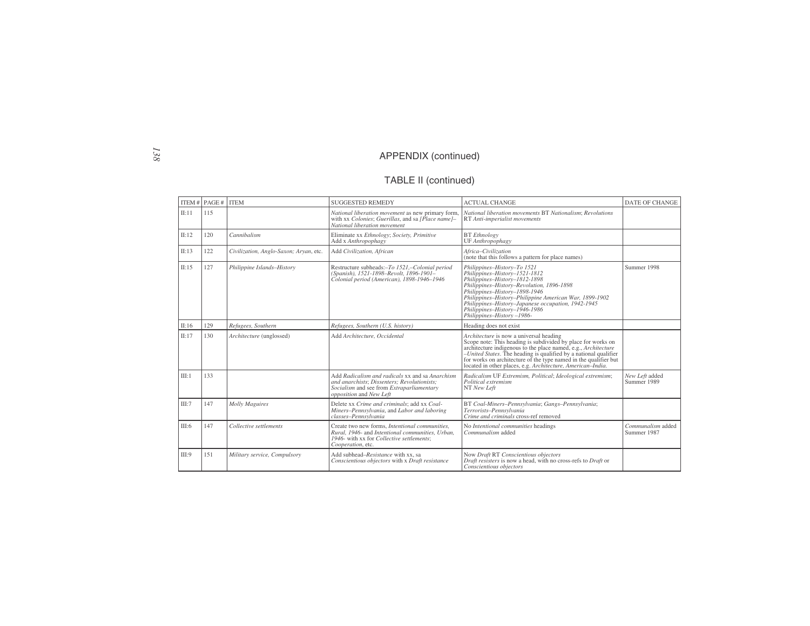#### TABLE II (continued)

|       | ITEM # $PAGE #$ | <b>ITEM</b>                            | <b>SUGGESTED REMEDY</b>                                                                                                                                                | <b>ACTUAL CHANGE</b>                                                                                                                                                                                                                                                                                                                                                             | DATE OF CHANGE                   |
|-------|-----------------|----------------------------------------|------------------------------------------------------------------------------------------------------------------------------------------------------------------------|----------------------------------------------------------------------------------------------------------------------------------------------------------------------------------------------------------------------------------------------------------------------------------------------------------------------------------------------------------------------------------|----------------------------------|
| II:11 | 115             |                                        | National liberation movement as new primary form.<br>with xx Colonies; Guerillas, and sa [Place name]-<br>National liberation movement                                 | National liberation movements BT Nationalism; Revolutions<br>RT Anti-imperialist movements                                                                                                                                                                                                                                                                                       |                                  |
| II:12 | 120             | Cannibalism                            | Eliminate xx Ethnology; Society, Primitive<br>Add x Anthropophagy                                                                                                      | <b>BT</b> Ethnology<br>UF Anthropophagy                                                                                                                                                                                                                                                                                                                                          |                                  |
| II:13 | 122             | Civilization, Anglo-Saxon; Aryan, etc. | Add Civilization, African                                                                                                                                              | Africa-Civilization<br>(note that this follows a pattern for place names)                                                                                                                                                                                                                                                                                                        |                                  |
| II:15 | 127             | Philippine Islands-History             | Restructure subheads:-To 1521,-Colonial period<br>(Spanish), 1521-1898-Revolt, 1896-1901-<br>Colonial period (American), 1898-1946-1946                                | Philippines-History-To 1521<br>Philippines-History-1521-1812<br>Philippines-History-1812-1898<br>Philippines-History-Revolution, 1896-1898<br>Philippines-History-1898-1946<br>Philippines-History-Philippine American War, 1899-1902<br>Philippines-History-Japanese occupation, 1942-1945<br>Philippines-History-1946-1986<br>Philippines-History-1986-                        | Summer 1998                      |
| II:16 | 129             | Refugees, Southern                     | Refugees, Southern (U.S. history)                                                                                                                                      | Heading does not exist                                                                                                                                                                                                                                                                                                                                                           |                                  |
| II:17 | 130             | Architecture (unglossed)               | Add Architecture, Occidental                                                                                                                                           | Architecture is now a universal heading<br>Scope note: This heading is subdivided by place for works on<br>architecture indigenous to the place named, e.g., Architecture<br>$-United States$ . The heading is qualified by a national qualifier for works on architecture of the type named in the qualifier but<br>located in other places, e.g. Architecture, American-India. |                                  |
| III:1 | 133             |                                        | Add Radicalism and radicals xx and sa Anarchism<br>and anarchists: Dissenters: Revolutionists:<br>Socialism and see from Extraparliamentary<br>opposition and New Left | Radicalism UF Extremism, Political; Ideological extremism;<br>Political extremism<br>NT New Left                                                                                                                                                                                                                                                                                 | New Left added<br>Summer 1989    |
| III:7 | 147             | <b>Molly Maguires</b>                  | Delete xx Crime and criminals; add xx Coal-<br>Miners-Pennsylvania, and Labor and laboring<br>classes-Pennsylvania                                                     | BT Coal-Miners-Pennsylvania; Gangs-Pennsylvania;<br>Terrorists-Pennsylvania<br>Crime and criminals cross-ref removed                                                                                                                                                                                                                                                             |                                  |
| III:6 | 147             | Collective settlements                 | Create two new forms. Intentional communities.<br>Rural, 1946- and Intentional communities, Urban,<br>1946- with xx for Collective settlements:<br>Cooperation, etc.   | No Intentional communities headings<br>Communalism added                                                                                                                                                                                                                                                                                                                         | Communalism added<br>Summer 1987 |
| III:9 | 151             | Military service, Compulsory           | Add subhead-Resistance with xx, sa<br>Conscientious objectors with x Draft resistance                                                                                  | Now Draft RT Conscientious objectors<br>Draft resisters is now a head, with no cross-refs to Draft or<br>Conscientious objectors                                                                                                                                                                                                                                                 |                                  |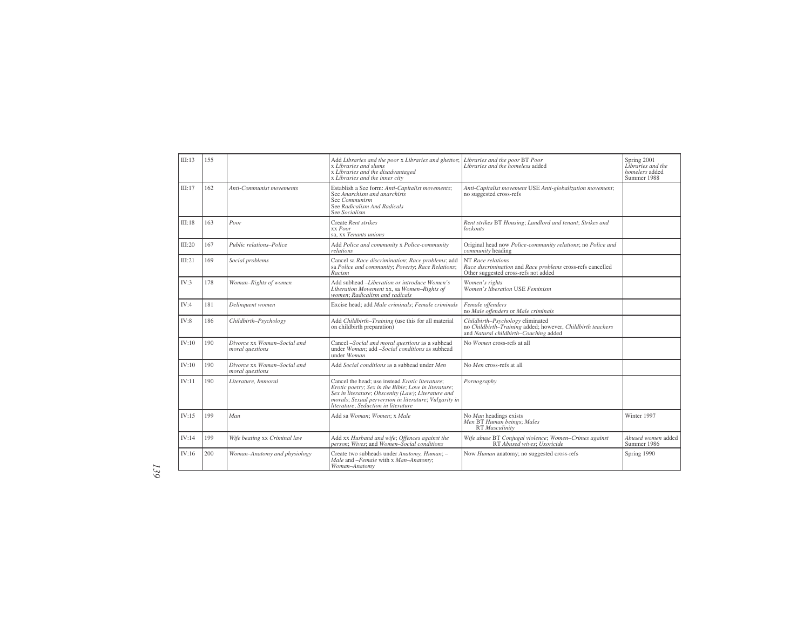| III:13 | 155 |                                                | Add Libraries and the poor x Libraries and ghettos;<br>x Libraries and slums<br>x Libraries and the disadvantaged<br>x Libraries and the inner city                                                                                                           | Libraries and the poor BT Poor<br>Libraries and the homeless added                                                                      | Spring 2001<br>Libraries and the<br>homeless added<br>Summer 1988 |
|--------|-----|------------------------------------------------|---------------------------------------------------------------------------------------------------------------------------------------------------------------------------------------------------------------------------------------------------------------|-----------------------------------------------------------------------------------------------------------------------------------------|-------------------------------------------------------------------|
| III:17 | 162 | Anti-Communist movements                       | Establish a See form: Anti-Capitalist movements;<br>See Anarchism and anarchists<br>See Communism<br>See Radicalism And Radicals<br>See Socialism                                                                                                             | Anti-Capitalist movement USE Anti-globalization movement;<br>no suggested cross-refs                                                    |                                                                   |
| III:18 | 163 | Poor                                           | Create Rent strikes<br>xx Poor<br>sa, xx Tenants unions                                                                                                                                                                                                       | Rent strikes BT Housing; Landlord and tenant; Strikes and<br>lockouts                                                                   |                                                                   |
| III:20 | 167 | Public relations-Police                        | Add Police and community x Police-community<br>relations                                                                                                                                                                                                      | Original head now Police-community relations; no Police and<br>community heading                                                        |                                                                   |
| III:21 | 169 | Social problems                                | Cancel sa Race discrimination; Race problems; add<br>sa Police and community; Poverty; Race Relations;<br>Racism                                                                                                                                              | NT Race relations<br>Race discrimination and Race problems cross-refs cancelled<br>Other suggested cross-refs not added                 |                                                                   |
| IV:3   | 178 | Woman-Rights of women                          | Add subhead -Liberation or introduce Women's<br>Liberation Movement xx, sa Women-Rights of<br>women: Radicalism and radicals                                                                                                                                  | Women's rights<br>Women's liberation USE Feminism                                                                                       |                                                                   |
| IV:4   | 181 | Delinquent women                               | Excise head; add Male criminals; Female criminals                                                                                                                                                                                                             | Female offenders<br>no Male offenders or Male criminals                                                                                 |                                                                   |
| IV:8   | 186 | Childbirth-Psychology                          | Add Childbirth-Training (use this for all material<br>on childbirth preparation)                                                                                                                                                                              | Childbirth-Psychology eliminated<br>no Childbirth-Training added; however, Childbirth teachers<br>and Natural childbirth-Coaching added |                                                                   |
| IV:10  | 190 | Divorce xx Woman-Social and<br>moral questions | Cancel -Social and moral questions as a subhead<br>under Woman; add -Social conditions as subhead<br>under Woman                                                                                                                                              | No Women cross-refs at all                                                                                                              |                                                                   |
| IV:10  | 190 | Divorce xx Woman-Social and<br>moral questions | Add Social conditions as a subhead under Men                                                                                                                                                                                                                  | No Men cross-refs at all                                                                                                                |                                                                   |
| IV:11  | 190 | Literature, Immoral                            | Cancel the head: use instead Erotic literature:<br>Erotic poetry; Sex in the Bible; Love in literature;<br>Sex in literature; Obscenity (Law); Literature and<br>morals; Sexual perversion in literature; Vulgarity in<br>literature: Seduction in literature | Pornography                                                                                                                             |                                                                   |
| IV:15  | 199 | Man                                            | Add sa Woman; Women; x Male                                                                                                                                                                                                                                   | No Man headings exists<br>Men BT Human beings; Males<br>RT Masculinity                                                                  | Winter 1997                                                       |
| IV:14  | 199 | Wife beating xx Criminal law                   | Add xx Husband and wife; Offences against the<br>person; Wives; and Women-Social conditions                                                                                                                                                                   | Wife abuse BT Conjugal violence; Women-Crimes against<br>RT Abused wives: Uxoricide                                                     | Abused women added<br>Summer 1986                                 |
| IV:16  | 200 | Woman-Anatomy and physiology                   | Create two subheads under Anatomy, Human; -<br>Male and -Female with x Man-Anatomy;<br>Woman-Anatomy                                                                                                                                                          | Now Human anatomy; no suggested cross-refs                                                                                              | Spring 1990                                                       |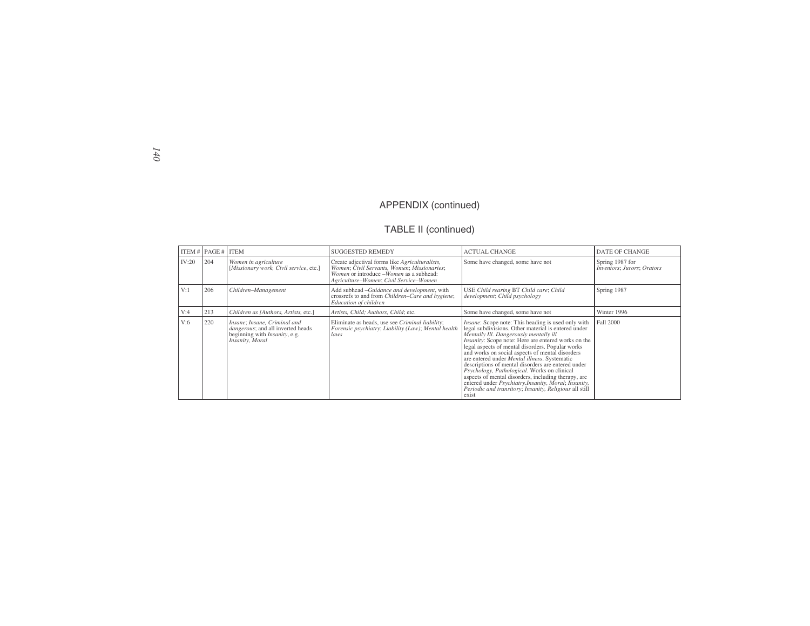#### TABLE II (continued)

|       | ITEM $\#$   PAGE $\#$   ITEM |                                                                                                                               | <b>SUGGESTED REMEDY</b>                                                                                                                                                            | <b>ACTUAL CHANGE</b>                                                                                                                                                                                                                                                                                                                                                                                                                                                                                                                                                                                                                                            | <b>DATE OF CHANGE</b>                         |
|-------|------------------------------|-------------------------------------------------------------------------------------------------------------------------------|------------------------------------------------------------------------------------------------------------------------------------------------------------------------------------|-----------------------------------------------------------------------------------------------------------------------------------------------------------------------------------------------------------------------------------------------------------------------------------------------------------------------------------------------------------------------------------------------------------------------------------------------------------------------------------------------------------------------------------------------------------------------------------------------------------------------------------------------------------------|-----------------------------------------------|
| IV:20 | 204                          | Women in agriculture<br>[Missionary work, Civil service, etc.]                                                                | Create adjectival forms like Agriculturalists,<br>Women; Civil Servants, Women; Missionaries;<br>Women or introduce -Women as a subhead:<br>Agriculture-Women; Civil Service-Women | Some have changed, some have not                                                                                                                                                                                                                                                                                                                                                                                                                                                                                                                                                                                                                                | Spring 1987 for<br>Inventors; Jurors; Orators |
| V:1   | 206                          | Children-Management                                                                                                           | Add subhead -Guidance and development, with<br>crossrefs to and from Children-Care and hygiene;<br>Education of children                                                           | USE Child rearing BT Child care; Child<br>development; Child psychology                                                                                                                                                                                                                                                                                                                                                                                                                                                                                                                                                                                         | Spring 1987                                   |
| V:4   | 213                          | Children as [Authors, Artists, etc.]                                                                                          | Artists, Child; Authors, Child; etc.                                                                                                                                               | Some have changed, some have not                                                                                                                                                                                                                                                                                                                                                                                                                                                                                                                                                                                                                                | Winter 1996                                   |
| V:6   | 220                          | Insane; Insane, Criminal and<br>dangerous; and all inverted heads<br>beginning with <i>Insanity</i> , e.g.<br>Insanity, Moral | Eliminate as heads, use see Criminal liability;<br>Forensic psychiatry; Liability (Law); Mental health<br>laws                                                                     | Insane: Scope note: This heading is used only with<br>legal subdivisions. Other material is entered under<br>Mentally Ill. Dangerously mentally ill<br>Insanity: Scope note: Here are entered works on the<br>legal aspects of mental disorders. Popular works<br>and works on social aspects of mental disorders<br>are entered under <i>Mental illness</i> . Systematic<br>descriptions of mental disorders are entered under<br>Psychology, Pathological. Works on clinical<br>aspects of mental disorders, including therapy, are<br>entered under Psychiatry.Insanity, Moral; Insanity,<br>Periodic and transitory; Insanity, Religious all still<br>exist | Fall 2000                                     |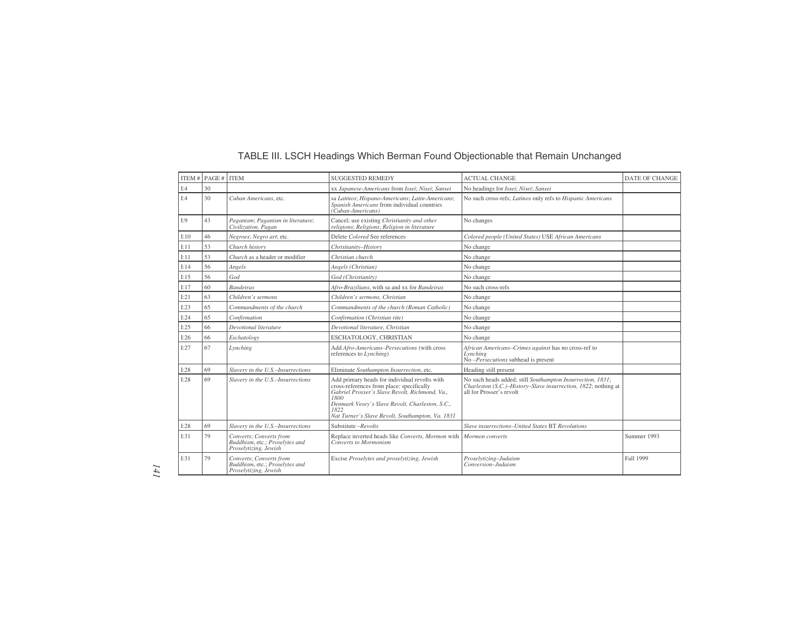#### TABLE III. LSCH Headings Which Berman Found Objectionable that Remain Unchanged

|      | ITEM # $PAGE #$ | <b>ITEM</b>                                                                        | <b>SUGGESTED REMEDY</b>                                                                                                                                                                                                                                     | <b>ACTUAL CHANGE</b>                                                                                                                                     | <b>DATE OF CHANGE</b> |
|------|-----------------|------------------------------------------------------------------------------------|-------------------------------------------------------------------------------------------------------------------------------------------------------------------------------------------------------------------------------------------------------------|----------------------------------------------------------------------------------------------------------------------------------------------------------|-----------------------|
| I:4  | 30              |                                                                                    | xx Japanese-Americans from Issei; Nisei; Sansei                                                                                                                                                                                                             | No headings for Issei; Nisei; Sansei                                                                                                                     |                       |
| I:4  | 30              | Cuban Americans, etc.                                                              | sa Latinos; Hispano-Americans; Latin-Americans;<br>Spanish Americans from individual countries<br>(Cuban-Americans)                                                                                                                                         | No such cross-refs; Latinos only refs to Hispanic Americans                                                                                              |                       |
| I:9  | 43              | Paganism; Paganism in literature;<br>Civilization, Pagan                           | Cancel; use existing Christianity and other<br>religions; Religions; Religion in literature                                                                                                                                                                 | No changes                                                                                                                                               |                       |
| I:10 | 46              | Negroes; Negro art; etc.                                                           | Delete Colored See references                                                                                                                                                                                                                               | Colored people (United States) USE African Americans                                                                                                     |                       |
| I:11 | 53              | Church history                                                                     | Christianity-History                                                                                                                                                                                                                                        | No change                                                                                                                                                |                       |
| I:11 | 53              | Church as a header or modifier                                                     | Christian church                                                                                                                                                                                                                                            | No change                                                                                                                                                |                       |
| I:14 | 56              | Angels                                                                             | Angels (Christian)                                                                                                                                                                                                                                          | No change                                                                                                                                                |                       |
| I:15 | 56              | God                                                                                | God (Christianity)                                                                                                                                                                                                                                          | No change                                                                                                                                                |                       |
| I:17 | 60              | <b>Bandeiras</b>                                                                   | Afro-Brazilians, with sa and xx for Bandeiras                                                                                                                                                                                                               | No such cross-refs                                                                                                                                       |                       |
| I:21 | 63              | Children's sermons                                                                 | Children's sermons. Christian                                                                                                                                                                                                                               | No change                                                                                                                                                |                       |
| I:23 | 65              | Commandments of the church                                                         | Commandments of the church (Roman Catholic)                                                                                                                                                                                                                 | No change                                                                                                                                                |                       |
| I:24 | 65              | Confirmation                                                                       | Confirmation (Christian rite)                                                                                                                                                                                                                               | No change                                                                                                                                                |                       |
| I:25 | 66              | Devotional literature                                                              | Devotional literature, Christian                                                                                                                                                                                                                            | No change                                                                                                                                                |                       |
| I:26 | 66              | Eschatology                                                                        | ESCHATOLOGY, CHRISTIAN                                                                                                                                                                                                                                      | No change                                                                                                                                                |                       |
| I:27 | 67              | Lynching                                                                           | Add Afro-Americans-Persecutions (with cross<br>references to Lynching)                                                                                                                                                                                      | African Americans-Crimes against has no cross-ref to<br>Lynching<br>$No$ -Persecutions subhead is present                                                |                       |
| I:28 | 69              | Slavery in the U.S.-Insurrections                                                  | Eliminate Southampton Insurrection, etc.                                                                                                                                                                                                                    | Heading still present                                                                                                                                    |                       |
| I:28 | 69              | Slavery in the U.S.-Insurrections                                                  | Add primary heads for individual revolts with<br>cross-references from place: specifically<br>Gabriel Prosser's Slave Revolt, Richmond, Va.,<br>1800<br>Denmark Vesey's Slave Revolt, Charleston, S.C.,<br>Nat Turner's Slave Revolt, Southampton, Va. 1831 | No such heads added; still Southampton Insurrection, 1831;<br>Charleston (S.C.)-History-Slave insurrection, 1822; nothing at<br>all for Prosser's revolt |                       |
| I:28 | 69              | Slavery in the U.S.-Insurrections                                                  | Substitute -Revolts                                                                                                                                                                                                                                         | Slave insurrections-United States BT Revolutions                                                                                                         |                       |
| I:31 | 79              | Converts: Converts from<br>Buddhism, etc.; Proselytes and<br>Proselytizing, Jewish | Replace inverted heads like Converts, Mormon with<br>Converts to Mormonism                                                                                                                                                                                  | Mormon converts                                                                                                                                          | Summer 1993           |
| I:31 | 79              | Converts; Converts from<br>Buddhism, etc.; Proselytes and<br>Proselytizing, Jewish | Excise Proselytes and proselytizing, Jewish                                                                                                                                                                                                                 | Proselytizing-Judaism<br>Conversion-Judaism                                                                                                              | <b>Fall 1999</b>      |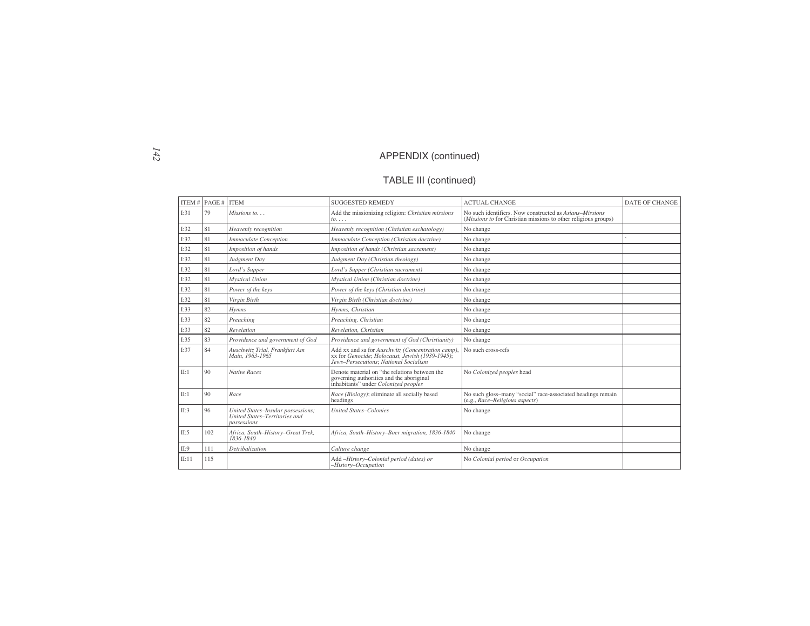# TABLE III (continued)

|       | ITEM $#$ PAGE $#$ ITEM |                                                                                    | <b>SUGGESTED REMEDY</b>                                                                                                                       | <b>ACTUAL CHANGE</b>                                                                                                              | <b>DATE OF CHANGE</b> |
|-------|------------------------|------------------------------------------------------------------------------------|-----------------------------------------------------------------------------------------------------------------------------------------------|-----------------------------------------------------------------------------------------------------------------------------------|-----------------------|
| I:31  | 79                     | Missions to                                                                        | Add the missionizing religion: Christian missions<br>$to \ldots$                                                                              | No such identifiers. Now constructed as Asians-Missions<br>( <i>Missions to</i> for Christian missions to other religious groups) |                       |
| I:32  | 81                     | Heavenly recognition                                                               | Heavenly recognition (Christian eschatology)                                                                                                  | No change                                                                                                                         |                       |
| I:32  | 81                     | <b>Immaculate Conception</b>                                                       | Immaculate Conception (Christian doctrine)                                                                                                    | No change                                                                                                                         |                       |
| I:32  | 81                     | Imposition of hands                                                                | Imposition of hands (Christian sacrament)                                                                                                     | No change                                                                                                                         |                       |
| I:32  | 81                     | Judgment Day                                                                       | Judgment Day (Christian theology)                                                                                                             | No change                                                                                                                         |                       |
| I:32  | 81                     | Lord's Supper                                                                      | Lord's Supper (Christian sacrament)                                                                                                           | No change                                                                                                                         |                       |
| I:32  | 81                     | <b>Mystical Union</b>                                                              | Mystical Union (Christian doctrine)                                                                                                           | No change                                                                                                                         |                       |
| I:32  | 81                     | Power of the keys                                                                  | Power of the keys (Christian doctrine)                                                                                                        | No change                                                                                                                         |                       |
| I:32  | 81                     | Virgin Birth                                                                       | Virgin Birth (Christian doctrine)                                                                                                             | No change                                                                                                                         |                       |
| I:33  | 82                     | <b>Hymns</b>                                                                       | Hymns, Christian                                                                                                                              | No change                                                                                                                         |                       |
| I:33  | 82                     | Preaching                                                                          | Preaching, Christian                                                                                                                          | No change                                                                                                                         |                       |
| I:33  | 82                     | Revelation                                                                         | Revelation, Christian                                                                                                                         | No change                                                                                                                         |                       |
| I:35  | 83                     | Providence and government of God                                                   | Providence and government of God (Christianity)                                                                                               | No change                                                                                                                         |                       |
| I:37  | 84                     | Auschwitz Trial, Frankfurt Am<br>Main, 1963-1965                                   | Add xx and sa for Auschwitz (Concentration camp),<br>xx for Genocide; Holocaust, Jewish (1939-1945);<br>Jews-Persecutions: National Socialism | No such cross-refs                                                                                                                |                       |
| II:1  | 90                     | <b>Native Races</b>                                                                | Denote material on "the relations between the<br>governing authorities and the aboriginal<br>inhabitants" under Colonized peoples             | No Colonized peoples head                                                                                                         |                       |
| II:1  | 90                     | Race                                                                               | Race (Biology); eliminate all socially based<br>headings                                                                                      | No such gloss-many "social" race-associated headings remain<br>(e.g., Race-Religious aspects)                                     |                       |
| II:3  | 96                     | United States-Insular possessions;<br>United States-Territories and<br>possessions | <b>United States-Colonies</b>                                                                                                                 | No change                                                                                                                         |                       |
| II:5  | 102                    | Africa, South-History-Great Trek,<br>1836-1840                                     | Africa, South-History-Boer migration, 1836-1840                                                                                               | No change                                                                                                                         |                       |
| II:9  | 111                    | Detribalization                                                                    | Culture change                                                                                                                                | No change                                                                                                                         |                       |
| II:11 | 115                    |                                                                                    | Add -History-Colonial period (dates) or<br>$-History-Occupation$                                                                              | No Colonial period or Occupation                                                                                                  |                       |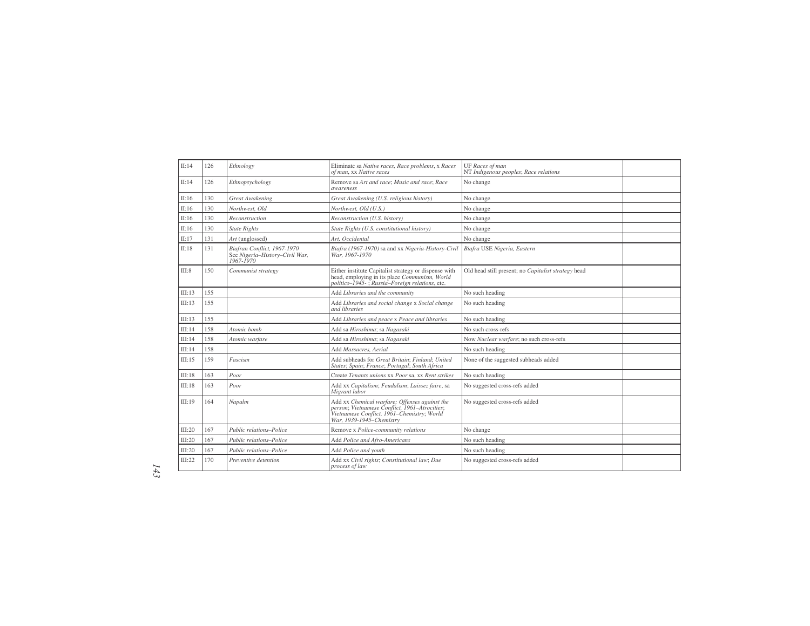| II:14  | 126 | Ethnology                                                                  | Eliminate sa Native races, Race problems, x Races<br>of man, XX Native races                                                                                             | UF Races of man<br>NT Indigenous peoples; Race relations |  |
|--------|-----|----------------------------------------------------------------------------|--------------------------------------------------------------------------------------------------------------------------------------------------------------------------|----------------------------------------------------------|--|
| II:14  | 126 | Ethnopsychology                                                            | Remove sa Art and race: Music and race: Race<br><i>awareness</i>                                                                                                         | No change                                                |  |
| II:16  | 130 | <b>Great Awakening</b>                                                     | Great Awakening (U.S. religious history)                                                                                                                                 | No change                                                |  |
| II:16  | 130 | Northwest, Old                                                             | Northwest, Old (U.S.)                                                                                                                                                    | No change                                                |  |
| II:16  | 130 | Reconstruction                                                             | Reconstruction (U.S. history)                                                                                                                                            | No change                                                |  |
| II:16  | 130 | <b>State Rights</b>                                                        | State Rights (U.S. constitutional history)                                                                                                                               | No change                                                |  |
| II:17  | 131 | Art (unglossed)                                                            | Art. Occidental                                                                                                                                                          | No change                                                |  |
| II:18  | 131 | Biafran Conflict, 1967-1970<br>See Nigeria-History-Civil War,<br>1967-1970 | Biafra (1967-1970) sa and xx Nigeria-History-Civil<br>War. 1967-1970                                                                                                     | Biafra USE Nigeria, Eastern                              |  |
| III:8  | 150 | Communist strategy                                                         | Either institute Capitalist strategy or dispense with<br>head, employing in its place Communism, World<br>politics-1945-; Russia-Foreign relations, etc.                 | Old head still present; no Capitalist strategy head      |  |
| III:13 | 155 |                                                                            | Add Libraries and the community                                                                                                                                          | No such heading                                          |  |
| III:13 | 155 |                                                                            | Add Libraries and social change x Social change<br>and libraries                                                                                                         | No such heading                                          |  |
| III:13 | 155 |                                                                            | Add Libraries and peace x Peace and libraries                                                                                                                            | No such heading                                          |  |
| III:14 | 158 | Atomic bomb                                                                | Add sa Hiroshima; sa Nagasaki                                                                                                                                            | No such cross-refs                                       |  |
| III:14 | 158 | Atomic warfare                                                             | Add sa Hiroshima; sa Nagasaki                                                                                                                                            | Now Nuclear warfare; no such cross-refs                  |  |
| III:14 | 158 |                                                                            | Add Massacres, Aerial                                                                                                                                                    | No such heading                                          |  |
| III:15 | 159 | Fascism                                                                    | Add subheads for Great Britain; Finland; United<br>States; Spain; France; Portugal; South Africa                                                                         | None of the suggested subheads added                     |  |
| III:18 | 163 | Poor                                                                       | Create Tenants unions xx Poor sa, xx Rent strikes                                                                                                                        | No such heading                                          |  |
| III:18 | 163 | Poor                                                                       | Add xx Capitalism; Feudalism; Laissez faire, sa<br>Migrant labor                                                                                                         | No suggested cross-refs added                            |  |
| III:19 | 164 | Napalm                                                                     | Add xx Chemical warfare; Offenses against the<br>person; Vietnamese Conflict, 1961-Atrocities;<br>Vietnamese Conflict, 1961–Chemistry; World<br>War. 1939-1945-Chemistry | No suggested cross-refs added                            |  |
| III:20 | 167 | Public relations-Police                                                    | Remove x Police-community relations                                                                                                                                      | No change                                                |  |
| III:20 | 167 | Public relations-Police                                                    | Add Police and Afro-Americans                                                                                                                                            | No such heading                                          |  |
| III:20 | 167 | Public relations-Police                                                    | Add Police and youth                                                                                                                                                     | No such heading                                          |  |
| III:22 | 170 | Preventive detention                                                       | Add xx Civil rights; Constitutional law; Due<br>process of law                                                                                                           | No suggested cross-refs added                            |  |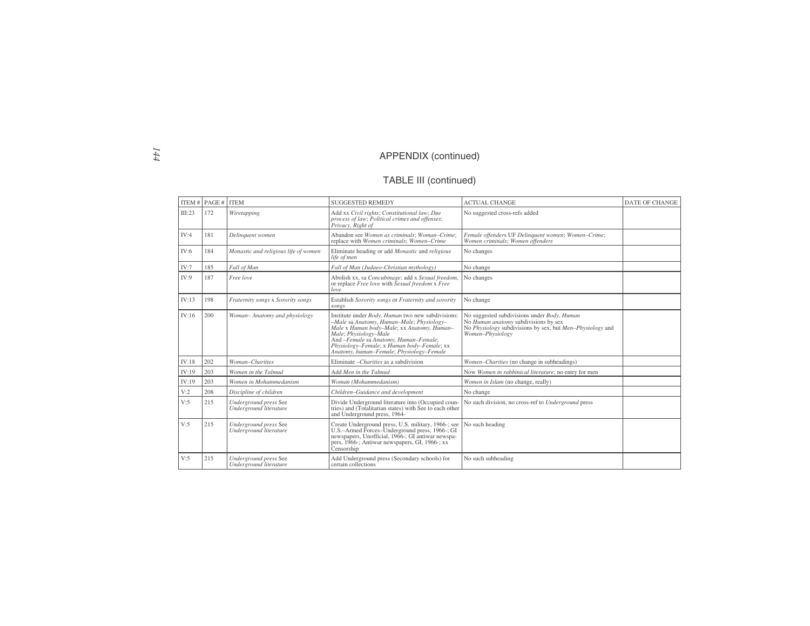#### TABLE III (continued)

|        | ITEM # $PAGE #$ ITEM |                                                 | <b>SUGGESTED REMEDY</b>                                                                                                                                                                                                                                                                                  | <b>ACTUAL CHANGE</b>                                                                                                                                                 | <b>DATE OF CHANGE</b> |
|--------|----------------------|-------------------------------------------------|----------------------------------------------------------------------------------------------------------------------------------------------------------------------------------------------------------------------------------------------------------------------------------------------------------|----------------------------------------------------------------------------------------------------------------------------------------------------------------------|-----------------------|
| III:23 | 172                  | Wiretapping                                     | Add xx Civil rights; Constitutional law; Due<br>process of law; Political crimes and offenses;<br>Privacy, Right of                                                                                                                                                                                      | No suggested cross-refs added                                                                                                                                        |                       |
| IV:4   | 181                  | Delinquent women                                | Abandon see Women as criminals; Woman-Crime;<br>replace with Women criminals; Women-Crime                                                                                                                                                                                                                | Female offenders UF Delinquent women; Women-Crime;<br>Women criminals; Women offenders                                                                               |                       |
| IV:6   | 184                  | Monastic and religious life of women            | Eliminate heading or add Monastic and religious<br>life of men                                                                                                                                                                                                                                           | No changes                                                                                                                                                           |                       |
| IV:7   | 185                  | Fall of Man                                     | Fall of Man (Judaeo-Christian mythology)                                                                                                                                                                                                                                                                 | No change                                                                                                                                                            |                       |
| IV:9   | 187                  | Free love                                       | Abolish xx, sa Concubinage; add x Sexual freedom,<br>or replace Free love with Sexual freedom x Free<br>love                                                                                                                                                                                             | No changes                                                                                                                                                           |                       |
| IV:13  | 198                  | Fraternity songs x Sorority songs               | Establish Sorority songs or Fraternity and sorority<br>songs                                                                                                                                                                                                                                             | No change                                                                                                                                                            |                       |
| IV:16  | 200                  | Woman-Anatomy and physiology                    | Institute under Body, Human two new subdivisions:<br>-Male sa Anatomy, Human-Male; Physiology-<br>Male x Human body-Male; xx Anatomy, Human-<br>Male; Physiology-Male<br>And -Female sa Anatomy, Human-Female;<br>Physiology-Female; x Human body-Female; xx<br>Anatomy, human-Female; Physiology-Female | No suggested subdivisions under Body, Human<br>No Human anatomy subdivisions by sex<br>No Physiology subdivisions by sex, but Men-Physiology and<br>Women-Physiology |                       |
| IV:18  | 202                  | Woman-Charities                                 | Eliminate - Charities as a subdivision                                                                                                                                                                                                                                                                   | Women-Charities (no change in subheadings)                                                                                                                           |                       |
| IV:19  | 203                  | Women in the Talmud                             | Add Men in the Talmud                                                                                                                                                                                                                                                                                    | Now Women in rabbinical literature; no entry for men                                                                                                                 |                       |
| IV:19  | 203                  | Women in Mohammedanism                          | Woman (Mohammedanism)                                                                                                                                                                                                                                                                                    | Women in Islam (no change, really)                                                                                                                                   |                       |
| V:2    | 208                  | Discipline of children                          | Children-Guidance and development                                                                                                                                                                                                                                                                        | No change                                                                                                                                                            |                       |
| V:5    | 215                  | Underground press See<br>Underground literature | Divide Underground literature into (Occupied coun-<br>tries) and (Totalitarian states) with See to each other<br>and Underground press, 1964-                                                                                                                                                            | No such division, no cross-ref to Underground press                                                                                                                  |                       |
| V:5    | 215                  | Underground press See<br>Underground literature | Create Underground press, U.S. military, 1966-; see<br>U.S.-Armed Forces-Underground press, 1966-; GI<br>newspapers, Unofficial, 1966-; GI antiwar newspa-<br>pers, 1966-; Antiwar newspapers, GI, 1966-; xx<br>Censorship                                                                               | No such heading                                                                                                                                                      |                       |
| V:5    | 215                  | Underground press See<br>Underground literature | Add Underground press (Secondary schools) for<br>certain collections                                                                                                                                                                                                                                     | No such subheading                                                                                                                                                   |                       |